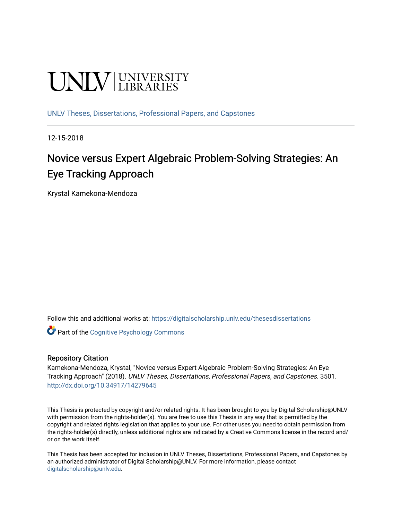# **UNIVERSITY**

[UNLV Theses, Dissertations, Professional Papers, and Capstones](https://digitalscholarship.unlv.edu/thesesdissertations)

12-15-2018

# Novice versus Expert Algebraic Problem-Solving Strategies: An Eye Tracking Approach

Krystal Kamekona-Mendoza

Follow this and additional works at: [https://digitalscholarship.unlv.edu/thesesdissertations](https://digitalscholarship.unlv.edu/thesesdissertations?utm_source=digitalscholarship.unlv.edu%2Fthesesdissertations%2F3501&utm_medium=PDF&utm_campaign=PDFCoverPages)

**C** Part of the Cognitive Psychology Commons

#### Repository Citation

Kamekona-Mendoza, Krystal, "Novice versus Expert Algebraic Problem-Solving Strategies: An Eye Tracking Approach" (2018). UNLV Theses, Dissertations, Professional Papers, and Capstones. 3501. <http://dx.doi.org/10.34917/14279645>

This Thesis is protected by copyright and/or related rights. It has been brought to you by Digital Scholarship@UNLV with permission from the rights-holder(s). You are free to use this Thesis in any way that is permitted by the copyright and related rights legislation that applies to your use. For other uses you need to obtain permission from the rights-holder(s) directly, unless additional rights are indicated by a Creative Commons license in the record and/ or on the work itself.

This Thesis has been accepted for inclusion in UNLV Theses, Dissertations, Professional Papers, and Capstones by an authorized administrator of Digital Scholarship@UNLV. For more information, please contact [digitalscholarship@unlv.edu](mailto:digitalscholarship@unlv.edu).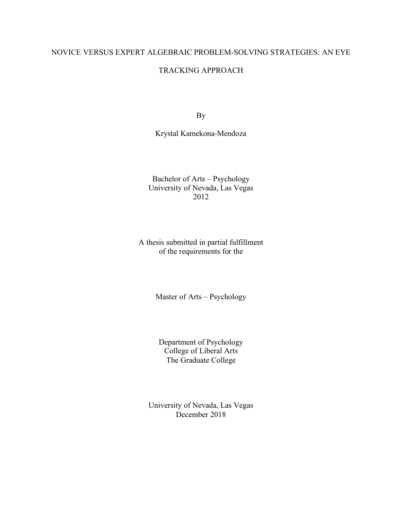# NOVICE VERSUS EXPERT ALGEBRAIC PROBLEM-SOLVING STRATEGIES: AN EYE

#### TRACKING APPROACH

By

Krystal Kamekona-Mendoza

Bachelor of Arts – Psychology University of Nevada, Las Vegas 2012

A thesis submitted in partial fulfillment of the requirements for the

Master of Arts – Psychology

Department of Psychology College of Liberal Arts The Graduate College

University of Nevada, Las Vegas December 2018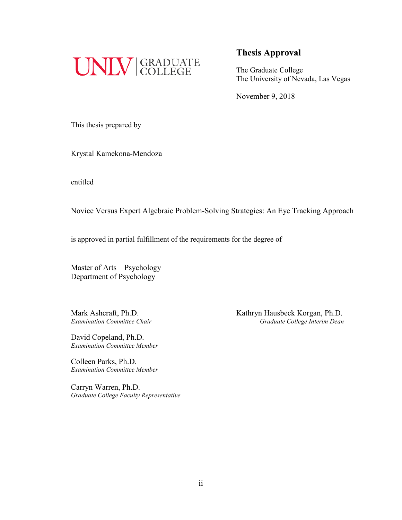

# **Thesis Approval**

The Graduate College The University of Nevada, Las Vegas

November 9, 2018

This thesis prepared by

Krystal Kamekona-Mendoza

entitled

Novice Versus Expert Algebraic Problem-Solving Strategies: An Eye Tracking Approach

is approved in partial fulfillment of the requirements for the degree of

Master of Arts – Psychology Department of Psychology

David Copeland, Ph.D. *Examination Committee Member*

Colleen Parks, Ph.D. *Examination Committee Member*

Carryn Warren, Ph.D. *Graduate College Faculty Representative*

Mark Ashcraft, Ph.D.<br>Examination Committee Chair<br>Graduate College Interim Dean *Examination Committee Chair Graduate College Interim Dean*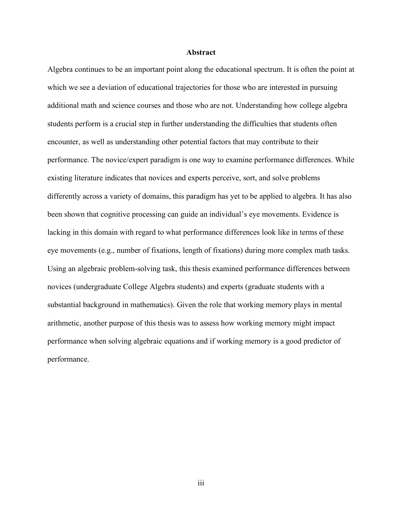#### **Abstract**

Algebra continues to be an important point along the educational spectrum. It is often the point at which we see a deviation of educational trajectories for those who are interested in pursuing additional math and science courses and those who are not. Understanding how college algebra students perform is a crucial step in further understanding the difficulties that students often encounter, as well as understanding other potential factors that may contribute to their performance. The novice/expert paradigm is one way to examine performance differences. While existing literature indicates that novices and experts perceive, sort, and solve problems differently across a variety of domains, this paradigm has yet to be applied to algebra. It has also been shown that cognitive processing can guide an individual's eye movements. Evidence is lacking in this domain with regard to what performance differences look like in terms of these eye movements (e.g., number of fixations, length of fixations) during more complex math tasks. Using an algebraic problem-solving task, this thesis examined performance differences between novices (undergraduate College Algebra students) and experts (graduate students with a substantial background in mathematics). Given the role that working memory plays in mental arithmetic, another purpose of this thesis was to assess how working memory might impact performance when solving algebraic equations and if working memory is a good predictor of performance.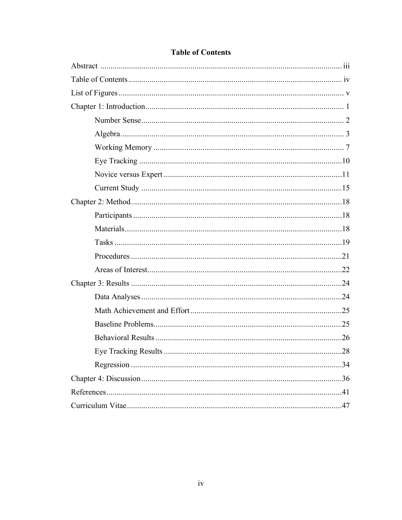| .34 |
|-----|
|     |
|     |
|     |

# **Table of Contents**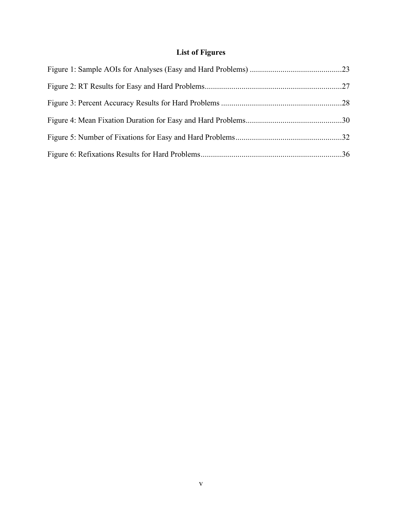# **List of Figures**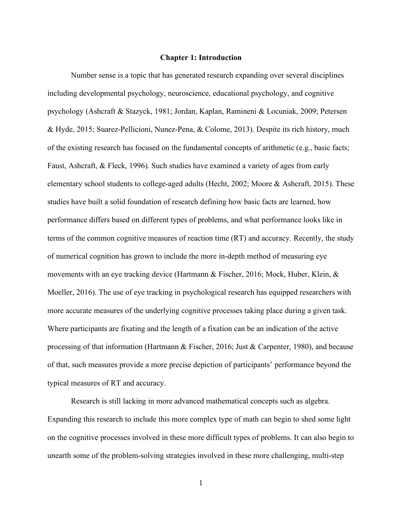#### **Chapter 1: Introduction**

Number sense is a topic that has generated research expanding over several disciplines including developmental psychology, neuroscience, educational psychology, and cognitive psychology (Ashcraft & Stazyck, 1981; Jordan, Kaplan, Ramineni & Locuniak, 2009; Petersen & Hyde, 2015; Suarez-Pellicioni, Nunez-Pena, & Colome, 2013). Despite its rich history, much of the existing research has focused on the fundamental concepts of arithmetic (e.g., basic facts; Faust, Ashcraft, & Fleck, 1996). Such studies have examined a variety of ages from early elementary school students to college-aged adults (Hecht, 2002; Moore & Ashcraft, 2015). These studies have built a solid foundation of research defining how basic facts are learned, how performance differs based on different types of problems, and what performance looks like in terms of the common cognitive measures of reaction time (RT) and accuracy. Recently, the study of numerical cognition has grown to include the more in-depth method of measuring eye movements with an eye tracking device (Hartmann & Fischer, 2016; Mock, Huber, Klein, & Moeller, 2016). The use of eye tracking in psychological research has equipped researchers with more accurate measures of the underlying cognitive processes taking place during a given task. Where participants are fixating and the length of a fixation can be an indication of the active processing of that information (Hartmann & Fischer, 2016; Just & Carpenter, 1980), and because of that, such measures provide a more precise depiction of participants' performance beyond the typical measures of RT and accuracy.

Research is still lacking in more advanced mathematical concepts such as algebra. Expanding this research to include this more complex type of math can begin to shed some light on the cognitive processes involved in these more difficult types of problems. It can also begin to unearth some of the problem-solving strategies involved in these more challenging, multi-step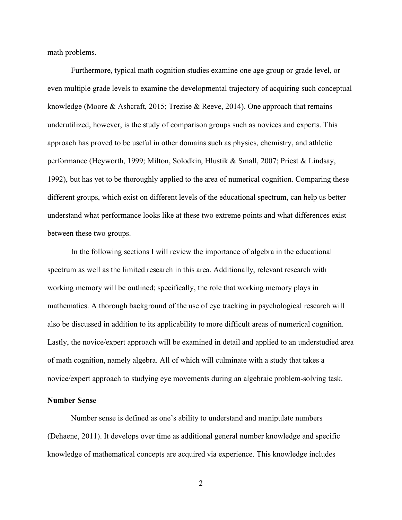math problems.

Furthermore, typical math cognition studies examine one age group or grade level, or even multiple grade levels to examine the developmental trajectory of acquiring such conceptual knowledge (Moore & Ashcraft, 2015; Trezise & Reeve, 2014). One approach that remains underutilized, however, is the study of comparison groups such as novices and experts. This approach has proved to be useful in other domains such as physics, chemistry, and athletic performance (Heyworth, 1999; Milton, Solodkin, Hlustik & Small, 2007; Priest & Lindsay, 1992), but has yet to be thoroughly applied to the area of numerical cognition. Comparing these different groups, which exist on different levels of the educational spectrum, can help us better understand what performance looks like at these two extreme points and what differences exist between these two groups.

In the following sections I will review the importance of algebra in the educational spectrum as well as the limited research in this area. Additionally, relevant research with working memory will be outlined; specifically, the role that working memory plays in mathematics. A thorough background of the use of eye tracking in psychological research will also be discussed in addition to its applicability to more difficult areas of numerical cognition. Lastly, the novice/expert approach will be examined in detail and applied to an understudied area of math cognition, namely algebra. All of which will culminate with a study that takes a novice/expert approach to studying eye movements during an algebraic problem-solving task.

#### **Number Sense**

Number sense is defined as one's ability to understand and manipulate numbers (Dehaene, 2011). It develops over time as additional general number knowledge and specific knowledge of mathematical concepts are acquired via experience. This knowledge includes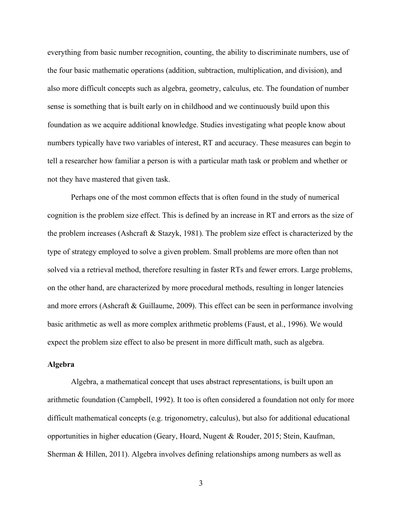everything from basic number recognition, counting, the ability to discriminate numbers, use of the four basic mathematic operations (addition, subtraction, multiplication, and division), and also more difficult concepts such as algebra, geometry, calculus, etc. The foundation of number sense is something that is built early on in childhood and we continuously build upon this foundation as we acquire additional knowledge. Studies investigating what people know about numbers typically have two variables of interest, RT and accuracy. These measures can begin to tell a researcher how familiar a person is with a particular math task or problem and whether or not they have mastered that given task.

Perhaps one of the most common effects that is often found in the study of numerical cognition is the problem size effect. This is defined by an increase in RT and errors as the size of the problem increases (Ashcraft & Stazyk, 1981). The problem size effect is characterized by the type of strategy employed to solve a given problem. Small problems are more often than not solved via a retrieval method, therefore resulting in faster RTs and fewer errors. Large problems, on the other hand, are characterized by more procedural methods, resulting in longer latencies and more errors (Ashcraft  $\&$  Guillaume, 2009). This effect can be seen in performance involving basic arithmetic as well as more complex arithmetic problems (Faust, et al., 1996). We would expect the problem size effect to also be present in more difficult math, such as algebra.

#### **Algebra**

Algebra, a mathematical concept that uses abstract representations, is built upon an arithmetic foundation (Campbell, 1992). It too is often considered a foundation not only for more difficult mathematical concepts (e.g. trigonometry, calculus), but also for additional educational opportunities in higher education (Geary, Hoard, Nugent & Rouder, 2015; Stein, Kaufman, Sherman & Hillen, 2011). Algebra involves defining relationships among numbers as well as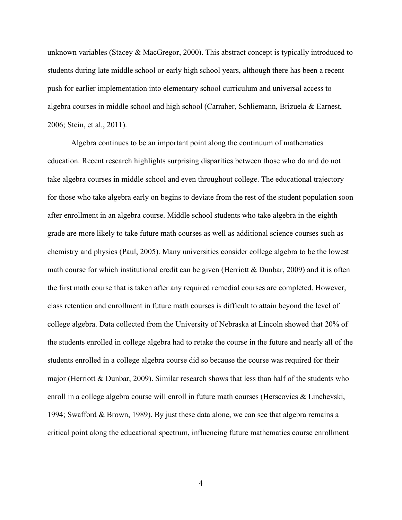unknown variables (Stacey & MacGregor, 2000). This abstract concept is typically introduced to students during late middle school or early high school years, although there has been a recent push for earlier implementation into elementary school curriculum and universal access to algebra courses in middle school and high school (Carraher, Schliemann, Brizuela & Earnest, 2006; Stein, et al., 2011).

Algebra continues to be an important point along the continuum of mathematics education. Recent research highlights surprising disparities between those who do and do not take algebra courses in middle school and even throughout college. The educational trajectory for those who take algebra early on begins to deviate from the rest of the student population soon after enrollment in an algebra course. Middle school students who take algebra in the eighth grade are more likely to take future math courses as well as additional science courses such as chemistry and physics (Paul, 2005). Many universities consider college algebra to be the lowest math course for which institutional credit can be given (Herriott & Dunbar, 2009) and it is often the first math course that is taken after any required remedial courses are completed. However, class retention and enrollment in future math courses is difficult to attain beyond the level of college algebra. Data collected from the University of Nebraska at Lincoln showed that 20% of the students enrolled in college algebra had to retake the course in the future and nearly all of the students enrolled in a college algebra course did so because the course was required for their major (Herriott & Dunbar, 2009). Similar research shows that less than half of the students who enroll in a college algebra course will enroll in future math courses (Herscovics & Linchevski, 1994; Swafford & Brown, 1989). By just these data alone, we can see that algebra remains a critical point along the educational spectrum, influencing future mathematics course enrollment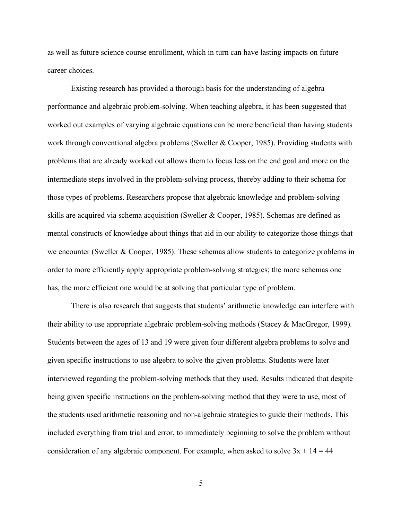as well as future science course enrollment, which in turn can have lasting impacts on future career choices.

Existing research has provided a thorough basis for the understanding of algebra performance and algebraic problem-solving. When teaching algebra, it has been suggested that worked out examples of varying algebraic equations can be more beneficial than having students work through conventional algebra problems (Sweller & Cooper, 1985). Providing students with problems that are already worked out allows them to focus less on the end goal and more on the intermediate steps involved in the problem-solving process, thereby adding to their schema for those types of problems. Researchers propose that algebraic knowledge and problem-solving skills are acquired via schema acquisition (Sweller & Cooper, 1985). Schemas are defined as mental constructs of knowledge about things that aid in our ability to categorize those things that we encounter (Sweller & Cooper, 1985). These schemas allow students to categorize problems in order to more efficiently apply appropriate problem-solving strategies; the more schemas one has, the more efficient one would be at solving that particular type of problem.

There is also research that suggests that students' arithmetic knowledge can interfere with their ability to use appropriate algebraic problem-solving methods (Stacey & MacGregor, 1999). Students between the ages of 13 and 19 were given four different algebra problems to solve and given specific instructions to use algebra to solve the given problems. Students were later interviewed regarding the problem-solving methods that they used. Results indicated that despite being given specific instructions on the problem-solving method that they were to use, most of the students used arithmetic reasoning and non-algebraic strategies to guide their methods. This included everything from trial and error, to immediately beginning to solve the problem without consideration of any algebraic component. For example, when asked to solve  $3x + 14 = 44$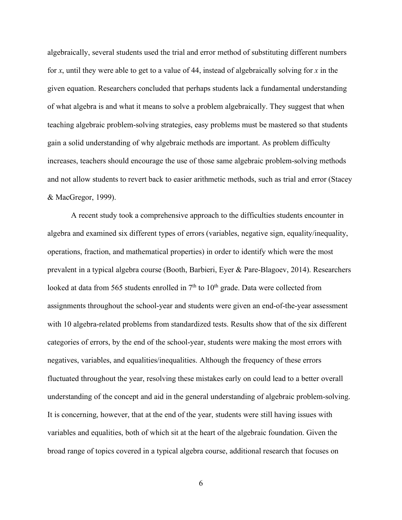algebraically, several students used the trial and error method of substituting different numbers for *x*, until they were able to get to a value of 44, instead of algebraically solving for *x* in the given equation. Researchers concluded that perhaps students lack a fundamental understanding of what algebra is and what it means to solve a problem algebraically. They suggest that when teaching algebraic problem-solving strategies, easy problems must be mastered so that students gain a solid understanding of why algebraic methods are important. As problem difficulty increases, teachers should encourage the use of those same algebraic problem-solving methods and not allow students to revert back to easier arithmetic methods, such as trial and error (Stacey & MacGregor, 1999).

A recent study took a comprehensive approach to the difficulties students encounter in algebra and examined six different types of errors (variables, negative sign, equality/inequality, operations, fraction, and mathematical properties) in order to identify which were the most prevalent in a typical algebra course (Booth, Barbieri, Eyer & Pare-Blagoev, 2014). Researchers looked at data from 565 students enrolled in  $7<sup>th</sup>$  to  $10<sup>th</sup>$  grade. Data were collected from assignments throughout the school-year and students were given an end-of-the-year assessment with 10 algebra-related problems from standardized tests. Results show that of the six different categories of errors, by the end of the school-year, students were making the most errors with negatives, variables, and equalities/inequalities. Although the frequency of these errors fluctuated throughout the year, resolving these mistakes early on could lead to a better overall understanding of the concept and aid in the general understanding of algebraic problem-solving. It is concerning, however, that at the end of the year, students were still having issues with variables and equalities, both of which sit at the heart of the algebraic foundation. Given the broad range of topics covered in a typical algebra course, additional research that focuses on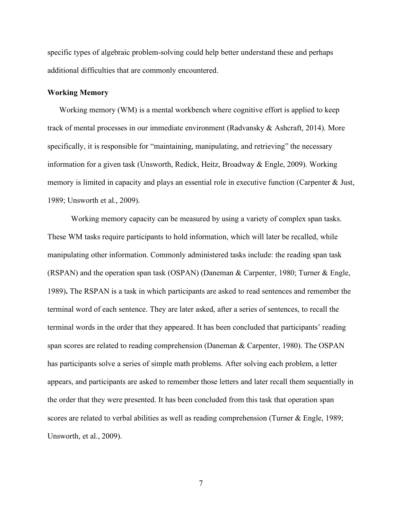specific types of algebraic problem-solving could help better understand these and perhaps additional difficulties that are commonly encountered.

#### **Working Memory**

Working memory (WM) is a mental workbench where cognitive effort is applied to keep track of mental processes in our immediate environment (Radvansky & Ashcraft, 2014). More specifically, it is responsible for "maintaining, manipulating, and retrieving" the necessary information for a given task (Unsworth, Redick, Heitz, Broadway & Engle, 2009). Working memory is limited in capacity and plays an essential role in executive function (Carpenter & Just, 1989; Unsworth et al., 2009).

Working memory capacity can be measured by using a variety of complex span tasks. These WM tasks require participants to hold information, which will later be recalled, while manipulating other information. Commonly administered tasks include: the reading span task (RSPAN) and the operation span task (OSPAN) (Daneman & Carpenter, 1980; Turner & Engle, 1989)**.** The RSPAN is a task in which participants are asked to read sentences and remember the terminal word of each sentence. They are later asked, after a series of sentences, to recall the terminal words in the order that they appeared. It has been concluded that participants' reading span scores are related to reading comprehension (Daneman & Carpenter, 1980). The OSPAN has participants solve a series of simple math problems. After solving each problem, a letter appears, and participants are asked to remember those letters and later recall them sequentially in the order that they were presented. It has been concluded from this task that operation span scores are related to verbal abilities as well as reading comprehension (Turner & Engle, 1989; Unsworth, et al., 2009).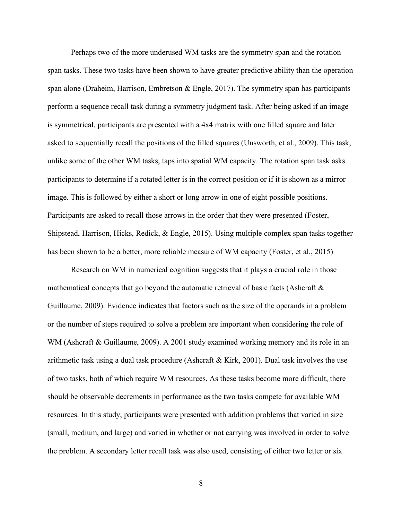Perhaps two of the more underused WM tasks are the symmetry span and the rotation span tasks. These two tasks have been shown to have greater predictive ability than the operation span alone (Draheim, Harrison, Embretson & Engle, 2017). The symmetry span has participants perform a sequence recall task during a symmetry judgment task. After being asked if an image is symmetrical, participants are presented with a 4x4 matrix with one filled square and later asked to sequentially recall the positions of the filled squares (Unsworth, et al., 2009). This task, unlike some of the other WM tasks, taps into spatial WM capacity. The rotation span task asks participants to determine if a rotated letter is in the correct position or if it is shown as a mirror image. This is followed by either a short or long arrow in one of eight possible positions. Participants are asked to recall those arrows in the order that they were presented (Foster, Shipstead, Harrison, Hicks, Redick, & Engle, 2015). Using multiple complex span tasks together has been shown to be a better, more reliable measure of WM capacity (Foster, et al., 2015)

Research on WM in numerical cognition suggests that it plays a crucial role in those mathematical concepts that go beyond the automatic retrieval of basic facts (Ashcraft  $\&$ Guillaume, 2009). Evidence indicates that factors such as the size of the operands in a problem or the number of steps required to solve a problem are important when considering the role of WM (Ashcraft & Guillaume, 2009). A 2001 study examined working memory and its role in an arithmetic task using a dual task procedure (Ashcraft & Kirk, 2001). Dual task involves the use of two tasks, both of which require WM resources. As these tasks become more difficult, there should be observable decrements in performance as the two tasks compete for available WM resources. In this study, participants were presented with addition problems that varied in size (small, medium, and large) and varied in whether or not carrying was involved in order to solve the problem. A secondary letter recall task was also used, consisting of either two letter or six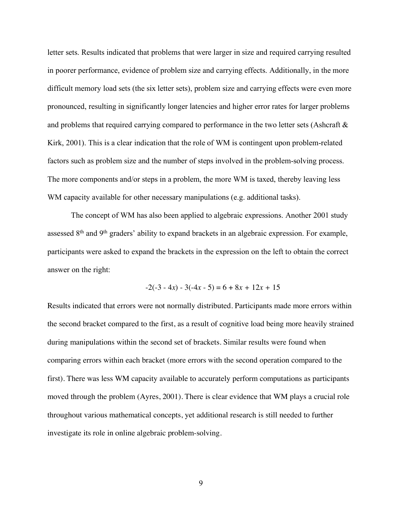letter sets. Results indicated that problems that were larger in size and required carrying resulted in poorer performance, evidence of problem size and carrying effects. Additionally, in the more difficult memory load sets (the six letter sets), problem size and carrying effects were even more pronounced, resulting in significantly longer latencies and higher error rates for larger problems and problems that required carrying compared to performance in the two letter sets (Ashcraft & Kirk, 2001). This is a clear indication that the role of WM is contingent upon problem-related factors such as problem size and the number of steps involved in the problem-solving process. The more components and/or steps in a problem, the more WM is taxed, thereby leaving less WM capacity available for other necessary manipulations (e.g. additional tasks).

The concept of WM has also been applied to algebraic expressions. Another 2001 study assessed 8<sup>th</sup> and 9<sup>th</sup> graders' ability to expand brackets in an algebraic expression. For example, participants were asked to expand the brackets in the expression on the left to obtain the correct answer on the right:

$$
-2(-3-4x) - 3(-4x-5) = 6 + 8x + 12x + 15
$$

Results indicated that errors were not normally distributed. Participants made more errors within the second bracket compared to the first, as a result of cognitive load being more heavily strained during manipulations within the second set of brackets. Similar results were found when comparing errors within each bracket (more errors with the second operation compared to the first). There was less WM capacity available to accurately perform computations as participants moved through the problem (Ayres, 2001). There is clear evidence that WM plays a crucial role throughout various mathematical concepts, yet additional research is still needed to further investigate its role in online algebraic problem-solving.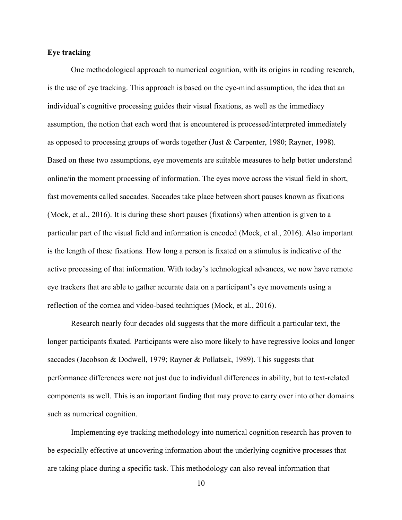#### **Eye tracking**

One methodological approach to numerical cognition, with its origins in reading research, is the use of eye tracking. This approach is based on the eye-mind assumption, the idea that an individual's cognitive processing guides their visual fixations, as well as the immediacy assumption, the notion that each word that is encountered is processed/interpreted immediately as opposed to processing groups of words together (Just & Carpenter, 1980; Rayner, 1998). Based on these two assumptions, eye movements are suitable measures to help better understand online/in the moment processing of information. The eyes move across the visual field in short, fast movements called saccades. Saccades take place between short pauses known as fixations (Mock, et al., 2016). It is during these short pauses (fixations) when attention is given to a particular part of the visual field and information is encoded (Mock, et al., 2016). Also important is the length of these fixations. How long a person is fixated on a stimulus is indicative of the active processing of that information. With today's technological advances, we now have remote eye trackers that are able to gather accurate data on a participant's eye movements using a reflection of the cornea and video-based techniques (Mock, et al., 2016).

Research nearly four decades old suggests that the more difficult a particular text, the longer participants fixated. Participants were also more likely to have regressive looks and longer saccades (Jacobson & Dodwell, 1979; Rayner & Pollatsek, 1989). This suggests that performance differences were not just due to individual differences in ability, but to text-related components as well. This is an important finding that may prove to carry over into other domains such as numerical cognition.

Implementing eye tracking methodology into numerical cognition research has proven to be especially effective at uncovering information about the underlying cognitive processes that are taking place during a specific task. This methodology can also reveal information that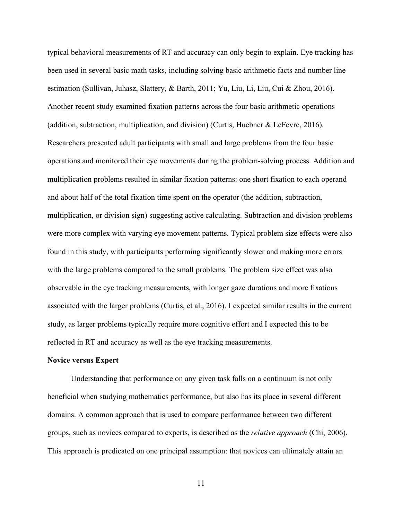typical behavioral measurements of RT and accuracy can only begin to explain. Eye tracking has been used in several basic math tasks, including solving basic arithmetic facts and number line estimation (Sullivan, Juhasz, Slattery, & Barth, 2011; Yu, Liu, Li, Liu, Cui & Zhou, 2016). Another recent study examined fixation patterns across the four basic arithmetic operations (addition, subtraction, multiplication, and division) (Curtis, Huebner & LeFevre, 2016). Researchers presented adult participants with small and large problems from the four basic operations and monitored their eye movements during the problem-solving process. Addition and multiplication problems resulted in similar fixation patterns: one short fixation to each operand and about half of the total fixation time spent on the operator (the addition, subtraction, multiplication, or division sign) suggesting active calculating. Subtraction and division problems were more complex with varying eye movement patterns. Typical problem size effects were also found in this study, with participants performing significantly slower and making more errors with the large problems compared to the small problems. The problem size effect was also observable in the eye tracking measurements, with longer gaze durations and more fixations associated with the larger problems (Curtis, et al., 2016). I expected similar results in the current study, as larger problems typically require more cognitive effort and I expected this to be reflected in RT and accuracy as well as the eye tracking measurements.

#### **Novice versus Expert**

Understanding that performance on any given task falls on a continuum is not only beneficial when studying mathematics performance, but also has its place in several different domains. A common approach that is used to compare performance between two different groups, such as novices compared to experts, is described as the *relative approach* (Chi, 2006). This approach is predicated on one principal assumption: that novices can ultimately attain an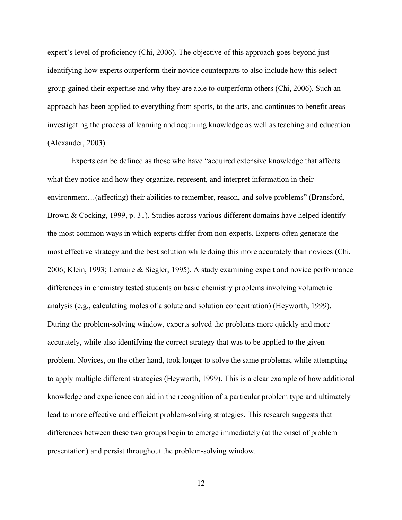expert's level of proficiency (Chi, 2006). The objective of this approach goes beyond just identifying how experts outperform their novice counterparts to also include how this select group gained their expertise and why they are able to outperform others (Chi, 2006). Such an approach has been applied to everything from sports, to the arts, and continues to benefit areas investigating the process of learning and acquiring knowledge as well as teaching and education (Alexander, 2003).

Experts can be defined as those who have "acquired extensive knowledge that affects what they notice and how they organize, represent, and interpret information in their environment…(affecting) their abilities to remember, reason, and solve problems" (Bransford, Brown & Cocking, 1999, p. 31). Studies across various different domains have helped identify the most common ways in which experts differ from non-experts. Experts often generate the most effective strategy and the best solution while doing this more accurately than novices (Chi, 2006; Klein, 1993; Lemaire & Siegler, 1995). A study examining expert and novice performance differences in chemistry tested students on basic chemistry problems involving volumetric analysis (e.g., calculating moles of a solute and solution concentration) (Heyworth, 1999). During the problem-solving window, experts solved the problems more quickly and more accurately, while also identifying the correct strategy that was to be applied to the given problem. Novices, on the other hand, took longer to solve the same problems, while attempting to apply multiple different strategies (Heyworth, 1999). This is a clear example of how additional knowledge and experience can aid in the recognition of a particular problem type and ultimately lead to more effective and efficient problem-solving strategies. This research suggests that differences between these two groups begin to emerge immediately (at the onset of problem presentation) and persist throughout the problem-solving window.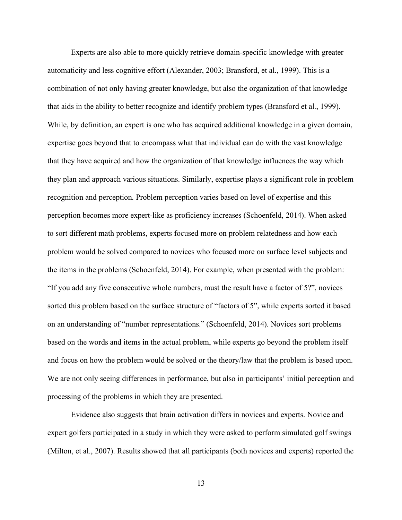Experts are also able to more quickly retrieve domain-specific knowledge with greater automaticity and less cognitive effort (Alexander, 2003; Bransford, et al., 1999). This is a combination of not only having greater knowledge, but also the organization of that knowledge that aids in the ability to better recognize and identify problem types (Bransford et al., 1999). While, by definition, an expert is one who has acquired additional knowledge in a given domain, expertise goes beyond that to encompass what that individual can do with the vast knowledge that they have acquired and how the organization of that knowledge influences the way which they plan and approach various situations. Similarly, expertise plays a significant role in problem recognition and perception. Problem perception varies based on level of expertise and this perception becomes more expert-like as proficiency increases (Schoenfeld, 2014). When asked to sort different math problems, experts focused more on problem relatedness and how each problem would be solved compared to novices who focused more on surface level subjects and the items in the problems (Schoenfeld, 2014). For example, when presented with the problem: "If you add any five consecutive whole numbers, must the result have a factor of 5?", novices sorted this problem based on the surface structure of "factors of 5", while experts sorted it based on an understanding of "number representations." (Schoenfeld, 2014). Novices sort problems based on the words and items in the actual problem, while experts go beyond the problem itself and focus on how the problem would be solved or the theory/law that the problem is based upon. We are not only seeing differences in performance, but also in participants' initial perception and processing of the problems in which they are presented.

Evidence also suggests that brain activation differs in novices and experts. Novice and expert golfers participated in a study in which they were asked to perform simulated golf swings (Milton, et al., 2007). Results showed that all participants (both novices and experts) reported the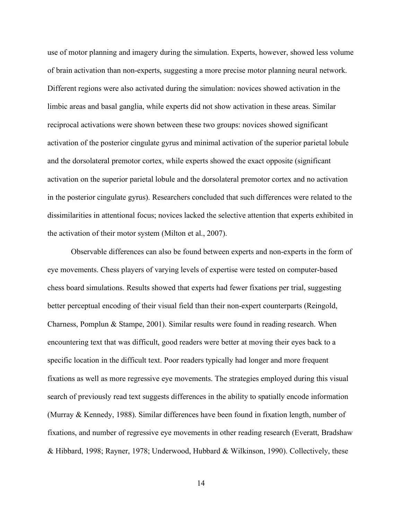use of motor planning and imagery during the simulation. Experts, however, showed less volume of brain activation than non-experts, suggesting a more precise motor planning neural network. Different regions were also activated during the simulation: novices showed activation in the limbic areas and basal ganglia, while experts did not show activation in these areas. Similar reciprocal activations were shown between these two groups: novices showed significant activation of the posterior cingulate gyrus and minimal activation of the superior parietal lobule and the dorsolateral premotor cortex, while experts showed the exact opposite (significant activation on the superior parietal lobule and the dorsolateral premotor cortex and no activation in the posterior cingulate gyrus). Researchers concluded that such differences were related to the dissimilarities in attentional focus; novices lacked the selective attention that experts exhibited in the activation of their motor system (Milton et al., 2007).

Observable differences can also be found between experts and non-experts in the form of eye movements. Chess players of varying levels of expertise were tested on computer-based chess board simulations. Results showed that experts had fewer fixations per trial, suggesting better perceptual encoding of their visual field than their non-expert counterparts (Reingold, Charness, Pomplun & Stampe, 2001). Similar results were found in reading research. When encountering text that was difficult, good readers were better at moving their eyes back to a specific location in the difficult text. Poor readers typically had longer and more frequent fixations as well as more regressive eye movements. The strategies employed during this visual search of previously read text suggests differences in the ability to spatially encode information (Murray & Kennedy, 1988). Similar differences have been found in fixation length, number of fixations, and number of regressive eye movements in other reading research (Everatt, Bradshaw & Hibbard, 1998; Rayner, 1978; Underwood, Hubbard & Wilkinson, 1990). Collectively, these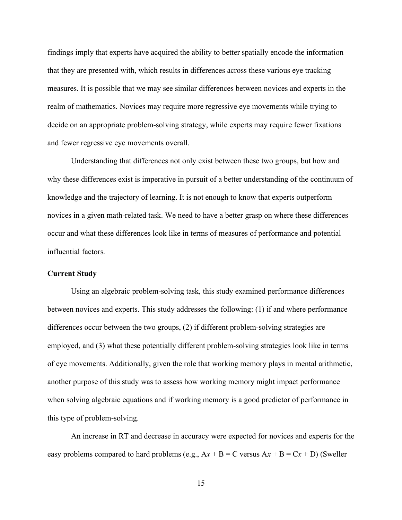findings imply that experts have acquired the ability to better spatially encode the information that they are presented with, which results in differences across these various eye tracking measures. It is possible that we may see similar differences between novices and experts in the realm of mathematics. Novices may require more regressive eye movements while trying to decide on an appropriate problem-solving strategy, while experts may require fewer fixations and fewer regressive eye movements overall.

Understanding that differences not only exist between these two groups, but how and why these differences exist is imperative in pursuit of a better understanding of the continuum of knowledge and the trajectory of learning. It is not enough to know that experts outperform novices in a given math-related task. We need to have a better grasp on where these differences occur and what these differences look like in terms of measures of performance and potential influential factors.

#### **Current Study**

Using an algebraic problem-solving task, this study examined performance differences between novices and experts. This study addresses the following: (1) if and where performance differences occur between the two groups, (2) if different problem-solving strategies are employed, and (3) what these potentially different problem-solving strategies look like in terms of eye movements. Additionally, given the role that working memory plays in mental arithmetic, another purpose of this study was to assess how working memory might impact performance when solving algebraic equations and if working memory is a good predictor of performance in this type of problem-solving.

An increase in RT and decrease in accuracy were expected for novices and experts for the easy problems compared to hard problems (e.g.,  $Ax + B = C$  versus  $Ax + B = Cx + D$ ) (Sweller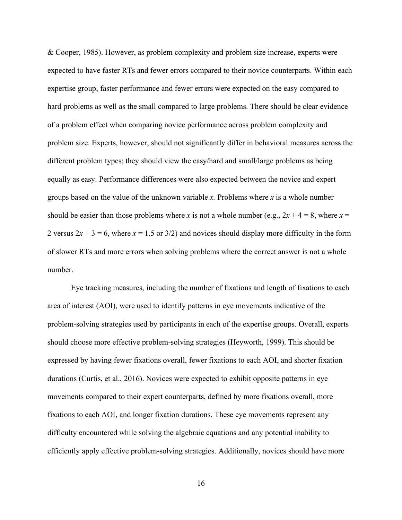& Cooper, 1985). However, as problem complexity and problem size increase, experts were expected to have faster RTs and fewer errors compared to their novice counterparts. Within each expertise group, faster performance and fewer errors were expected on the easy compared to hard problems as well as the small compared to large problems. There should be clear evidence of a problem effect when comparing novice performance across problem complexity and problem size. Experts, however, should not significantly differ in behavioral measures across the different problem types; they should view the easy/hard and small/large problems as being equally as easy. Performance differences were also expected between the novice and expert groups based on the value of the unknown variable *x.* Problems where *x* is a whole number should be easier than those problems where *x* is not a whole number (e.g.,  $2x + 4 = 8$ , where  $x =$ 2 versus  $2x + 3 = 6$ , where  $x = 1.5$  or  $3/2$ ) and novices should display more difficulty in the form of slower RTs and more errors when solving problems where the correct answer is not a whole number.

Eye tracking measures, including the number of fixations and length of fixations to each area of interest (AOI), were used to identify patterns in eye movements indicative of the problem-solving strategies used by participants in each of the expertise groups. Overall, experts should choose more effective problem-solving strategies (Heyworth, 1999). This should be expressed by having fewer fixations overall, fewer fixations to each AOI, and shorter fixation durations (Curtis, et al., 2016). Novices were expected to exhibit opposite patterns in eye movements compared to their expert counterparts, defined by more fixations overall, more fixations to each AOI, and longer fixation durations. These eye movements represent any difficulty encountered while solving the algebraic equations and any potential inability to efficiently apply effective problem-solving strategies. Additionally, novices should have more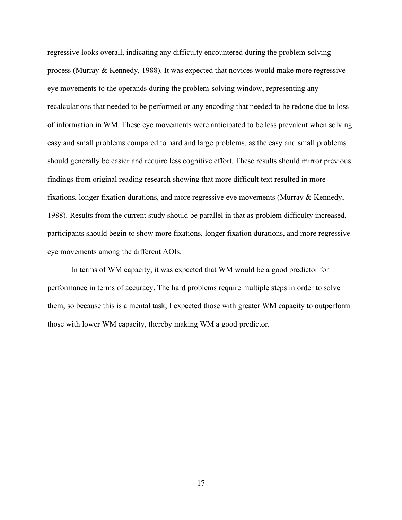regressive looks overall, indicating any difficulty encountered during the problem-solving process (Murray & Kennedy, 1988). It was expected that novices would make more regressive eye movements to the operands during the problem-solving window, representing any recalculations that needed to be performed or any encoding that needed to be redone due to loss of information in WM. These eye movements were anticipated to be less prevalent when solving easy and small problems compared to hard and large problems, as the easy and small problems should generally be easier and require less cognitive effort. These results should mirror previous findings from original reading research showing that more difficult text resulted in more fixations, longer fixation durations, and more regressive eye movements (Murray & Kennedy, 1988). Results from the current study should be parallel in that as problem difficulty increased, participants should begin to show more fixations, longer fixation durations, and more regressive eye movements among the different AOIs.

In terms of WM capacity, it was expected that WM would be a good predictor for performance in terms of accuracy. The hard problems require multiple steps in order to solve them, so because this is a mental task, I expected those with greater WM capacity to outperform those with lower WM capacity, thereby making WM a good predictor.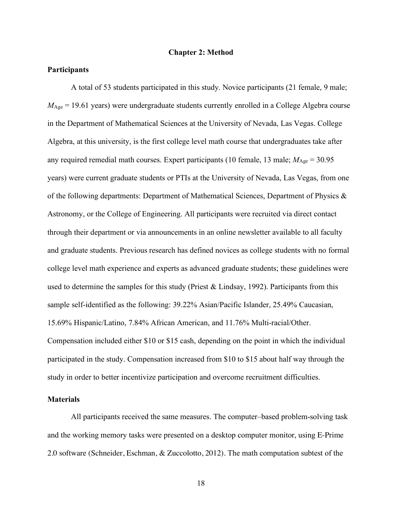#### **Chapter 2: Method**

#### **Participants**

A total of 53 students participated in this study. Novice participants (21 female, 9 male;  $M_{\text{Age}}$  = 19.61 years) were undergraduate students currently enrolled in a College Algebra course in the Department of Mathematical Sciences at the University of Nevada, Las Vegas. College Algebra, at this university, is the first college level math course that undergraduates take after any required remedial math courses. Expert participants (10 female, 13 male;  $M_{\text{Age}} = 30.95$ ) years) were current graduate students or PTIs at the University of Nevada, Las Vegas, from one of the following departments: Department of Mathematical Sciences, Department of Physics & Astronomy, or the College of Engineering. All participants were recruited via direct contact through their department or via announcements in an online newsletter available to all faculty and graduate students. Previous research has defined novices as college students with no formal college level math experience and experts as advanced graduate students; these guidelines were used to determine the samples for this study (Priest & Lindsay, 1992). Participants from this sample self-identified as the following: 39.22% Asian/Pacific Islander, 25.49% Caucasian, 15.69% Hispanic/Latino, 7.84% African American, and 11.76% Multi-racial/Other. Compensation included either \$10 or \$15 cash, depending on the point in which the individual participated in the study. Compensation increased from \$10 to \$15 about half way through the study in order to better incentivize participation and overcome recruitment difficulties.

#### **Materials**

All participants received the same measures. The computer–based problem-solving task and the working memory tasks were presented on a desktop computer monitor, using E-Prime 2.0 software (Schneider, Eschman, & Zuccolotto, 2012). The math computation subtest of the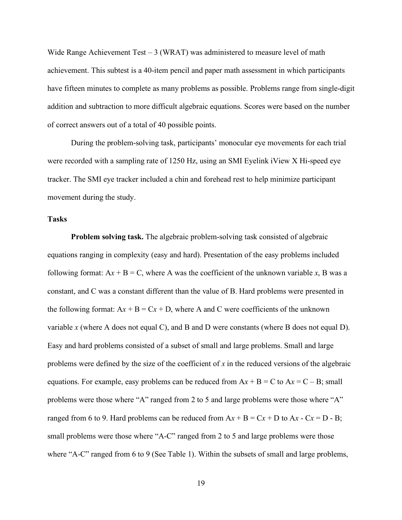Wide Range Achievement Test  $-3$  (WRAT) was administered to measure level of math achievement. This subtest is a 40-item pencil and paper math assessment in which participants have fifteen minutes to complete as many problems as possible. Problems range from single-digit addition and subtraction to more difficult algebraic equations. Scores were based on the number of correct answers out of a total of 40 possible points.

During the problem-solving task, participants' monocular eye movements for each trial were recorded with a sampling rate of 1250 Hz, using an SMI Eyelink iView X Hi-speed eye tracker. The SMI eye tracker included a chin and forehead rest to help minimize participant movement during the study.

#### **Tasks**

**Problem solving task.** The algebraic problem-solving task consisted of algebraic equations ranging in complexity (easy and hard). Presentation of the easy problems included following format:  $Ax + B = C$ , where A was the coefficient of the unknown variable *x*, B was a constant, and C was a constant different than the value of B. Hard problems were presented in the following format:  $Ax + B = Cx + D$ , where A and C were coefficients of the unknown variable *x* (where A does not equal C), and B and D were constants (where B does not equal D). Easy and hard problems consisted of a subset of small and large problems. Small and large problems were defined by the size of the coefficient of *x* in the reduced versions of the algebraic equations. For example, easy problems can be reduced from  $Ax + B = C$  to  $Ax = C - B$ ; small problems were those where "A" ranged from 2 to 5 and large problems were those where "A" ranged from 6 to 9. Hard problems can be reduced from  $Ax + B = Cx + D$  to  $Ax - Cx = D - B$ ; small problems were those where "A-C" ranged from 2 to 5 and large problems were those where "A-C" ranged from 6 to 9 (See Table 1). Within the subsets of small and large problems,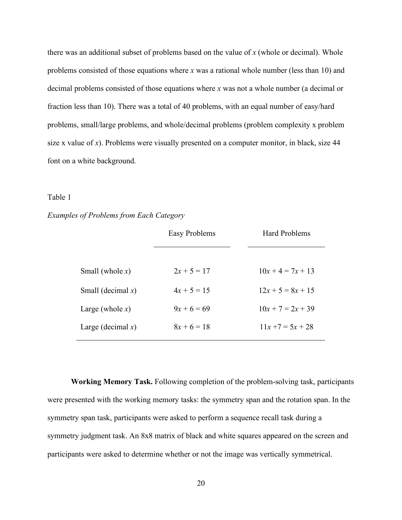there was an additional subset of problems based on the value of *x* (whole or decimal). Whole problems consisted of those equations where *x* was a rational whole number (less than 10) and decimal problems consisted of those equations where *x* was not a whole number (a decimal or fraction less than 10). There was a total of 40 problems, with an equal number of easy/hard problems, small/large problems, and whole/decimal problems (problem complexity x problem size x value of *x*). Problems were visually presented on a computer monitor, in black, size 44 font on a white background.

#### Table 1

#### *Examples of Problems from Each Category*

|                      | Easy Problems | <b>Hard Problems</b> |
|----------------------|---------------|----------------------|
|                      |               |                      |
| Small (whole $x$ )   | $2x + 5 = 17$ | $10x + 4 = 7x + 13$  |
| Small (decimal $x$ ) | $4x + 5 = 15$ | $12x + 5 = 8x + 15$  |
| Large (whole $x$ )   | $9x + 6 = 69$ | $10x + 7 = 2x + 39$  |
| Large (decimal $x$ ) | $8x + 6 = 18$ | $11x + 7 = 5x + 28$  |
|                      |               |                      |

**Working Memory Task.** Following completion of the problem-solving task, participants were presented with the working memory tasks: the symmetry span and the rotation span. In the symmetry span task, participants were asked to perform a sequence recall task during a symmetry judgment task. An 8x8 matrix of black and white squares appeared on the screen and participants were asked to determine whether or not the image was vertically symmetrical.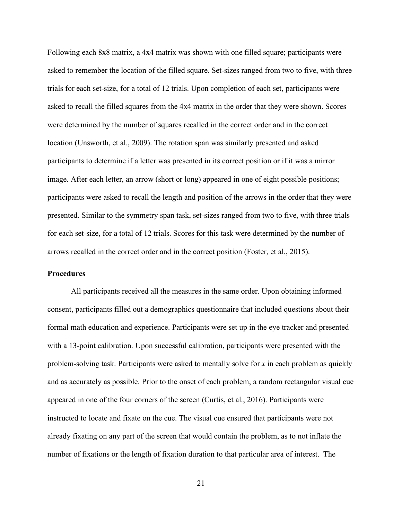Following each 8x8 matrix, a 4x4 matrix was shown with one filled square; participants were asked to remember the location of the filled square. Set-sizes ranged from two to five, with three trials for each set-size, for a total of 12 trials. Upon completion of each set, participants were asked to recall the filled squares from the 4x4 matrix in the order that they were shown. Scores were determined by the number of squares recalled in the correct order and in the correct location (Unsworth, et al., 2009). The rotation span was similarly presented and asked participants to determine if a letter was presented in its correct position or if it was a mirror image. After each letter, an arrow (short or long) appeared in one of eight possible positions; participants were asked to recall the length and position of the arrows in the order that they were presented. Similar to the symmetry span task, set-sizes ranged from two to five, with three trials for each set-size, for a total of 12 trials. Scores for this task were determined by the number of arrows recalled in the correct order and in the correct position (Foster, et al., 2015).

#### **Procedures**

All participants received all the measures in the same order. Upon obtaining informed consent, participants filled out a demographics questionnaire that included questions about their formal math education and experience. Participants were set up in the eye tracker and presented with a 13-point calibration. Upon successful calibration, participants were presented with the problem-solving task. Participants were asked to mentally solve for *x* in each problem as quickly and as accurately as possible. Prior to the onset of each problem, a random rectangular visual cue appeared in one of the four corners of the screen (Curtis, et al., 2016). Participants were instructed to locate and fixate on the cue. The visual cue ensured that participants were not already fixating on any part of the screen that would contain the problem, as to not inflate the number of fixations or the length of fixation duration to that particular area of interest. The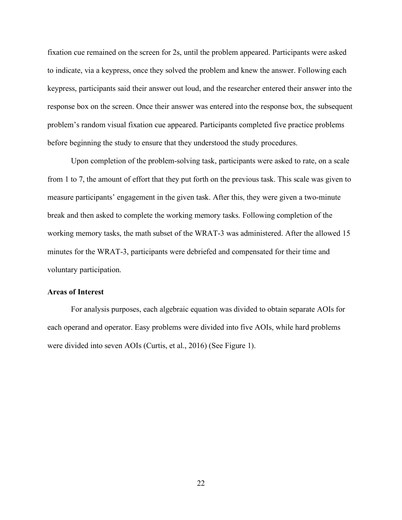fixation cue remained on the screen for 2s, until the problem appeared. Participants were asked to indicate, via a keypress, once they solved the problem and knew the answer. Following each keypress, participants said their answer out loud, and the researcher entered their answer into the response box on the screen. Once their answer was entered into the response box, the subsequent problem's random visual fixation cue appeared. Participants completed five practice problems before beginning the study to ensure that they understood the study procedures.

Upon completion of the problem-solving task, participants were asked to rate, on a scale from 1 to 7, the amount of effort that they put forth on the previous task. This scale was given to measure participants' engagement in the given task. After this, they were given a two-minute break and then asked to complete the working memory tasks. Following completion of the working memory tasks, the math subset of the WRAT-3 was administered. After the allowed 15 minutes for the WRAT-3, participants were debriefed and compensated for their time and voluntary participation.

#### **Areas of Interest**

For analysis purposes, each algebraic equation was divided to obtain separate AOIs for each operand and operator. Easy problems were divided into five AOIs, while hard problems were divided into seven AOIs (Curtis, et al., 2016) (See Figure 1).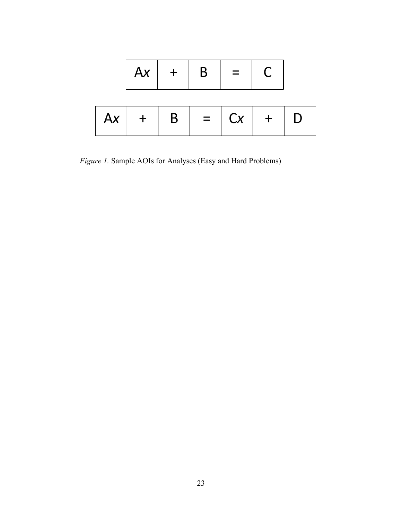|  |  | $Ax$ + B = C                           |  |
|--|--|----------------------------------------|--|
|  |  | $\overline{Ax}$ +   B   =   Cx   +   D |  |
|  |  |                                        |  |

*Figure 1.* Sample AOIs for Analyses (Easy and Hard Problems)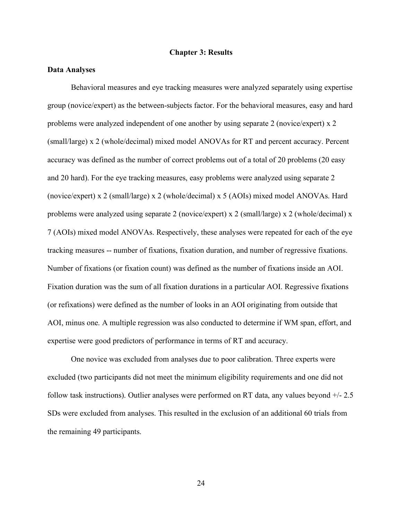#### **Chapter 3: Results**

#### **Data Analyses**

Behavioral measures and eye tracking measures were analyzed separately using expertise group (novice/expert) as the between-subjects factor. For the behavioral measures, easy and hard problems were analyzed independent of one another by using separate 2 (novice/expert) x 2 (small/large) x 2 (whole/decimal) mixed model ANOVAs for RT and percent accuracy. Percent accuracy was defined as the number of correct problems out of a total of 20 problems (20 easy and 20 hard). For the eye tracking measures, easy problems were analyzed using separate 2 (novice/expert) x 2 (small/large) x 2 (whole/decimal) x 5 (AOIs) mixed model ANOVAs. Hard problems were analyzed using separate 2 (novice/expert) x 2 (small/large) x 2 (whole/decimal) x 7 (AOIs) mixed model ANOVAs. Respectively, these analyses were repeated for each of the eye tracking measures -- number of fixations, fixation duration, and number of regressive fixations. Number of fixations (or fixation count) was defined as the number of fixations inside an AOI. Fixation duration was the sum of all fixation durations in a particular AOI. Regressive fixations (or refixations) were defined as the number of looks in an AOI originating from outside that AOI, minus one. A multiple regression was also conducted to determine if WM span, effort, and expertise were good predictors of performance in terms of RT and accuracy.

One novice was excluded from analyses due to poor calibration. Three experts were excluded (two participants did not meet the minimum eligibility requirements and one did not follow task instructions). Outlier analyses were performed on RT data, any values beyond +/- 2.5 SDs were excluded from analyses. This resulted in the exclusion of an additional 60 trials from the remaining 49 participants.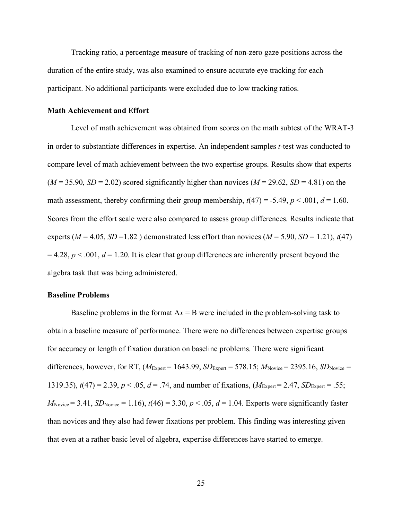Tracking ratio, a percentage measure of tracking of non-zero gaze positions across the duration of the entire study, was also examined to ensure accurate eye tracking for each participant. No additional participants were excluded due to low tracking ratios.

#### **Math Achievement and Effort**

Level of math achievement was obtained from scores on the math subtest of the WRAT-3 in order to substantiate differences in expertise. An independent samples *t*-test was conducted to compare level of math achievement between the two expertise groups. Results show that experts  $(M = 35.90, SD = 2.02)$  scored significantly higher than novices  $(M = 29.62, SD = 4.81)$  on the math assessment, thereby confirming their group membership,  $t(47) = -5.49$ ,  $p < .001$ ,  $d = 1.60$ . Scores from the effort scale were also compared to assess group differences. Results indicate that experts ( $M = 4.05$ ,  $SD = 1.82$ ) demonstrated less effort than novices ( $M = 5.90$ ,  $SD = 1.21$ ),  $t(47)$  $= 4.28$ ,  $p < .001$ ,  $d = 1.20$ . It is clear that group differences are inherently present beyond the algebra task that was being administered.

#### **Baseline Problems**

Baseline problems in the format  $Ax = B$  were included in the problem-solving task to obtain a baseline measure of performance. There were no differences between expertise groups for accuracy or length of fixation duration on baseline problems. There were significant differences, however, for RT,  $(M_{Expert} = 1643.99, SD_{Expert} = 578.15; M_{Novice} = 2395.16, SD_{Novice} =$ 1319.35),  $t(47) = 2.39$ ,  $p < .05$ ,  $d = .74$ , and number of fixations,  $(M_{\text{Expert}} = 2.47, SD_{\text{Expert}} = .55$ ;  $M_{\text{Novice}} = 3.41, SD_{\text{Novice}} = 1.16$ ,  $t(46) = 3.30, p < .05, d = 1.04$ . Experts were significantly faster than novices and they also had fewer fixations per problem. This finding was interesting given that even at a rather basic level of algebra, expertise differences have started to emerge.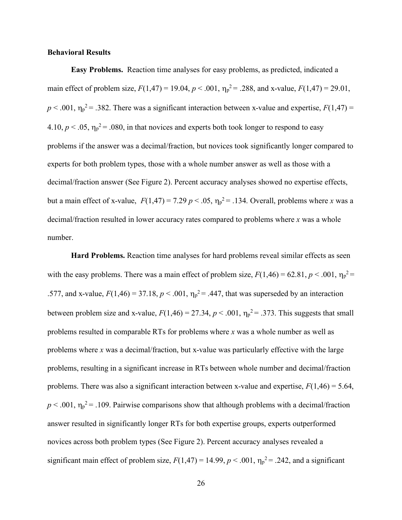#### **Behavioral Results**

**Easy Problems.** Reaction time analyses for easy problems, as predicted, indicated a main effect of problem size,  $F(1,47) = 19.04$ ,  $p < .001$ ,  $\eta_p^2 = .288$ , and x-value,  $F(1,47) = 29.01$ ,  $p < .001$ ,  $\eta_p^2 = .382$ . There was a significant interaction between x-value and expertise,  $F(1,47) =$ 4.10,  $p < .05$ ,  $\eta_p^2 = .080$ , in that novices and experts both took longer to respond to easy problems if the answer was a decimal/fraction, but novices took significantly longer compared to experts for both problem types, those with a whole number answer as well as those with a decimal/fraction answer (See Figure 2). Percent accuracy analyses showed no expertise effects, but a main effect of x-value,  $F(1,47) = 7.29 \, p < .05$ ,  $\eta_p^2 = .134$ . Overall, problems where *x* was a decimal/fraction resulted in lower accuracy rates compared to problems where *x* was a whole number.

**Hard Problems.** Reaction time analyses for hard problems reveal similar effects as seen with the easy problems. There was a main effect of problem size,  $F(1,46) = 62.81, p < .001, \eta_p^2 =$ .577, and x-value,  $F(1,46) = 37.18$ ,  $p < .001$ ,  $\eta_p^2 = .447$ , that was superseded by an interaction between problem size and x-value,  $F(1,46) = 27.34$ ,  $p < .001$ ,  $\eta_p^2 = .373$ . This suggests that small problems resulted in comparable RTs for problems where *x* was a whole number as well as problems where *x* was a decimal/fraction, but x-value was particularly effective with the large problems, resulting in a significant increase in RTs between whole number and decimal/fraction problems. There was also a significant interaction between x-value and expertise,  $F(1,46) = 5.64$ ,  $p < .001$ ,  $\eta_p^2 = .109$ . Pairwise comparisons show that although problems with a decimal/fraction answer resulted in significantly longer RTs for both expertise groups, experts outperformed novices across both problem types (See Figure 2). Percent accuracy analyses revealed a significant main effect of problem size,  $F(1,47) = 14.99$ ,  $p < .001$ ,  $\eta_p^2 = .242$ , and a significant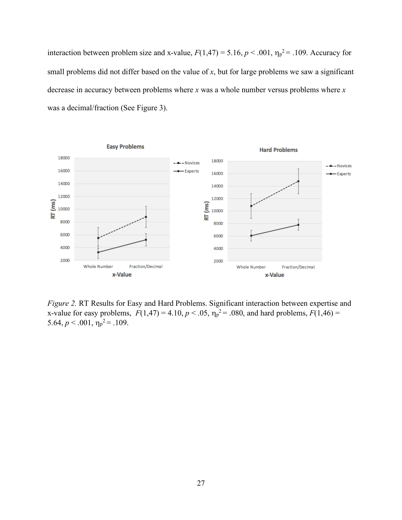interaction between problem size and x-value,  $F(1,47) = 5.16$ ,  $p < .001$ ,  $\eta_p^2 = .109$ . Accuracy for small problems did not differ based on the value of *x*, but for large problems we saw a significant decrease in accuracy between problems where *x* was a whole number versus problems where *x* was a decimal/fraction (See Figure 3).



*Figure 2.* RT Results for Easy and Hard Problems. Significant interaction between expertise and x-value for easy problems,  $F(1,47) = 4.10, p < .05, \eta_p^2 = .080$ , and hard problems,  $F(1,46) =$ 5.64,  $p < .001$ ,  $\eta_p^2 = .109$ .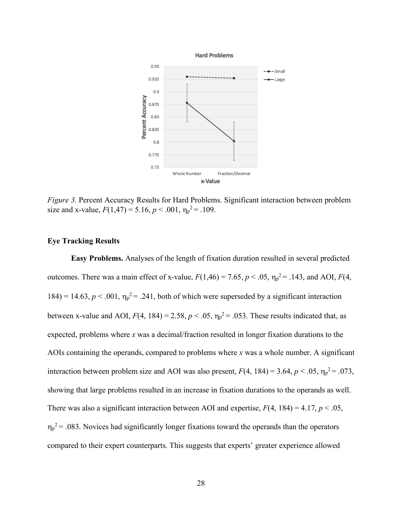

*Figure 3.* Percent Accuracy Results for Hard Problems. Significant interaction between problem size and x-value,  $F(1,47) = 5.16$ ,  $p < .001$ ,  $\eta_p^2 = .109$ .

#### **Eye Tracking Results**

**Easy Problems.** Analyses of the length of fixation duration resulted in several predicted outcomes. There was a main effect of x-value,  $F(1,46) = 7.65$ ,  $p < .05$ ,  $\eta_p^2 = .143$ , and AOI,  $F(4, 4)$ 184) = 14.63,  $p < .001$ ,  $\eta_p^2 = .241$ , both of which were superseded by a significant interaction between x-value and AOI,  $F(4, 184) = 2.58$ ,  $p < .05$ ,  $\eta_p^2 = .053$ . These results indicated that, as expected, problems where *x* was a decimal/fraction resulted in longer fixation durations to the AOIs containing the operands, compared to problems where *x* was a whole number. A significant interaction between problem size and AOI was also present,  $F(4, 184) = 3.64$ ,  $p < .05$ ,  $\eta_p^2 = .073$ , showing that large problems resulted in an increase in fixation durations to the operands as well. There was also a significant interaction between AOI and expertise,  $F(4, 184) = 4.17$ ,  $p < .05$ ,  $\eta_p^2$  = .083. Novices had significantly longer fixations toward the operands than the operators compared to their expert counterparts. This suggests that experts' greater experience allowed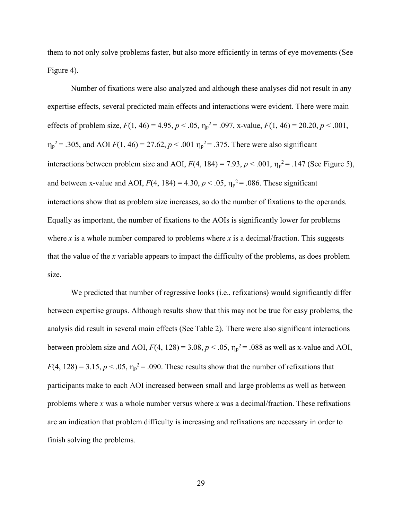them to not only solve problems faster, but also more efficiently in terms of eye movements (See Figure 4).

Number of fixations were also analyzed and although these analyses did not result in any expertise effects, several predicted main effects and interactions were evident. There were main effects of problem size,  $F(1, 46) = 4.95$ ,  $p < .05$ ,  $\eta_p^2 = .097$ , x-value,  $F(1, 46) = 20.20$ ,  $p < .001$ ,  $n_p^2$  = .305, and AOI *F*(1, 46) = 27.62, *p* < .001  $n_p^2$  = .375. There were also significant interactions between problem size and AOI,  $F(4, 184) = 7.93$ ,  $p < .001$ ,  $\eta_p^2 = .147$  (See Figure 5), and between x-value and AOI,  $F(4, 184) = 4.30, p < .05, \eta_p^2 = .086$ . These significant interactions show that as problem size increases, so do the number of fixations to the operands. Equally as important, the number of fixations to the AOIs is significantly lower for problems where *x* is a whole number compared to problems where *x* is a decimal/fraction. This suggests that the value of the *x* variable appears to impact the difficulty of the problems, as does problem size.

We predicted that number of regressive looks (i.e., refixations) would significantly differ between expertise groups. Although results show that this may not be true for easy problems, the analysis did result in several main effects (See Table 2). There were also significant interactions between problem size and AOI,  $F(4, 128) = 3.08$ ,  $p < .05$ ,  $\eta_p^2 = .088$  as well as x-value and AOI,  $F(4, 128) = 3.15, p < .05, \eta_p^2 = .090$ . These results show that the number of refixations that participants make to each AOI increased between small and large problems as well as between problems where *x* was a whole number versus where *x* was a decimal/fraction. These refixations are an indication that problem difficulty is increasing and refixations are necessary in order to finish solving the problems.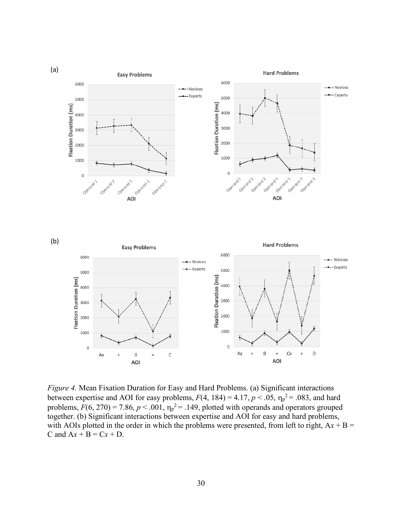

*Figure 4.* Mean Fixation Duration for Easy and Hard Problems. (a) Significant interactions between expertise and AOI for easy problems,  $F(4, 184) = 4.17$ ,  $p < .05$ ,  $\eta_p^2 = .083$ , and hard problems,  $F(6, 270) = 7.86$ ,  $p < .001$ ,  $\eta_p^2 = .149$ , plotted with operands and operators grouped together. (b) Significant interactions between expertise and AOI for easy and hard problems, with AOIs plotted in the order in which the problems were presented, from left to right,  $Ax + B =$ C and  $Ax + B = Cx + D$ .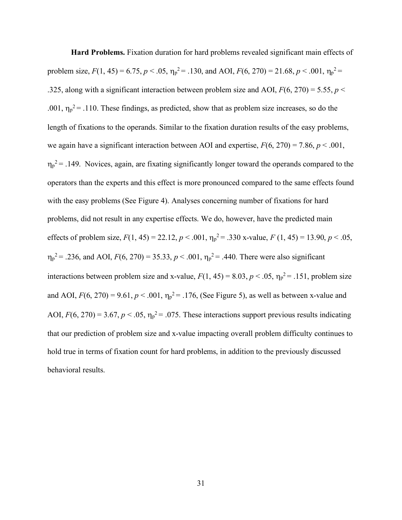**Hard Problems.** Fixation duration for hard problems revealed significant main effects of problem size,  $F(1, 45) = 6.75$ ,  $p < .05$ ,  $\eta_p^2 = .130$ , and AOI,  $F(6, 270) = 21.68$ ,  $p < .001$ ,  $\eta_p^2 =$ .325, along with a significant interaction between problem size and AOI,  $F(6, 270) = 5.55$ ,  $p <$ .001,  $\eta_p^2$  = .110. These findings, as predicted, show that as problem size increases, so do the length of fixations to the operands. Similar to the fixation duration results of the easy problems, we again have a significant interaction between AOI and expertise, *F*(6, 270) = 7.86, *p* < .001,  $\eta_p^2$  = .149. Novices, again, are fixating significantly longer toward the operands compared to the operators than the experts and this effect is more pronounced compared to the same effects found with the easy problems (See Figure 4). Analyses concerning number of fixations for hard problems, did not result in any expertise effects. We do, however, have the predicted main effects of problem size,  $F(1, 45) = 22.12$ ,  $p < .001$ ,  $\eta_p^2 = .330$  x-value,  $F(1, 45) = 13.90$ ,  $p < .05$ ,  $n_p^2$  = .236, and AOI,  $F(6, 270) = 35.33$ ,  $p < .001$ ,  $n_p^2 = .440$ . There were also significant interactions between problem size and x-value,  $F(1, 45) = 8.03$ ,  $p < .05$ ,  $\eta_p^2 = .151$ , problem size and AOI,  $F(6, 270) = 9.61$ ,  $p < .001$ ,  $\eta_p^2 = .176$ , (See Figure 5), as well as between x-value and AOI,  $F(6, 270) = 3.67$ ,  $p < .05$ ,  $\eta_p^2 = .075$ . These interactions support previous results indicating that our prediction of problem size and x-value impacting overall problem difficulty continues to hold true in terms of fixation count for hard problems, in addition to the previously discussed behavioral results.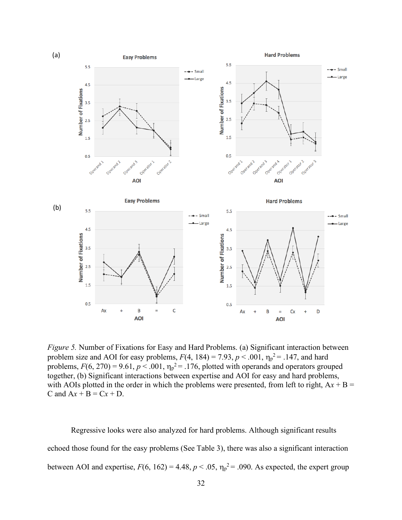

*Figure 5.* Number of Fixations for Easy and Hard Problems. (a) Significant interaction between problem size and AOI for easy problems,  $F(4, 184) = 7.93$ ,  $p < .001$ ,  $\eta_p^2 = .147$ , and hard problems,  $F(6, 270) = 9.61$ ,  $p < .001$ ,  $\eta_p^2 = .176$ , plotted with operands and operators grouped together, (b) Significant interactions between expertise and AOI for easy and hard problems, with AOIs plotted in the order in which the problems were presented, from left to right,  $Ax + B =$ C and  $Ax + B = Cx + D$ .

Regressive looks were also analyzed for hard problems. Although significant results echoed those found for the easy problems (See Table 3), there was also a significant interaction between AOI and expertise,  $F(6, 162) = 4.48$ ,  $p < .05$ ,  $\eta_p^2 = .090$ . As expected, the expert group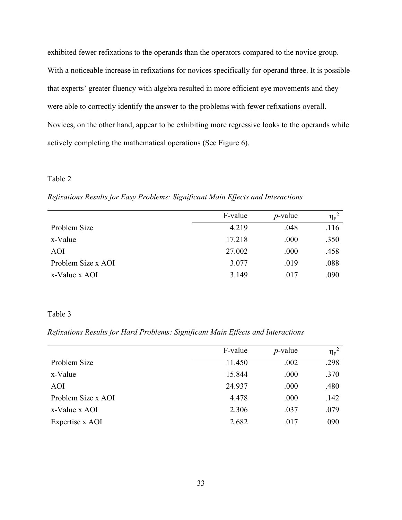exhibited fewer refixations to the operands than the operators compared to the novice group. With a noticeable increase in refixations for novices specifically for operand three. It is possible that experts' greater fluency with algebra resulted in more efficient eye movements and they were able to correctly identify the answer to the problems with fewer refixations overall. Novices, on the other hand, appear to be exhibiting more regressive looks to the operands while actively completing the mathematical operations (See Figure 6).

#### Table 2

*Refixations Results for Easy Problems: Significant Main Effects and Interactions*

| F-value | $p$ -value | $\eta_p^2$ |
|---------|------------|------------|
| 4.219   | .048       | .116       |
| 17.218  | .000       | .350       |
| 27.002  | .000       | .458       |
| 3.077   | .019       | .088       |
| 3.149   | .017       | .090       |
|         |            |            |

#### Table 3

### *Refixations Results for Hard Problems: Significant Main Effects and Interactions*

|                    | F-value | $p$ -value | $\eta_p^2$ |
|--------------------|---------|------------|------------|
| Problem Size       | 11.450  | .002       | .298       |
| x-Value            | 15.844  | .000       | .370       |
| AOI                | 24.937  | .000       | .480       |
| Problem Size x AOI | 4.478   | .000       | .142       |
| x-Value x AOI      | 2.306   | .037       | .079       |
| Expertise x AOI    | 2.682   | .017       | 090        |
|                    |         |            |            |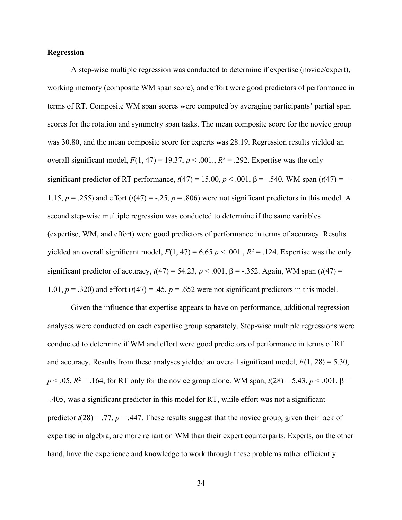#### **Regression**

A step-wise multiple regression was conducted to determine if expertise (novice/expert), working memory (composite WM span score), and effort were good predictors of performance in terms of RT. Composite WM span scores were computed by averaging participants' partial span scores for the rotation and symmetry span tasks. The mean composite score for the novice group was 30.80, and the mean composite score for experts was 28.19. Regression results yielded an overall significant model,  $F(1, 47) = 19.37$ ,  $p < .001$ .,  $R^2 = .292$ . Expertise was the only significant predictor of RT performance,  $t(47) = 15.00$ ,  $p < .001$ ,  $\beta = -.540$ . WM span  $(t(47)) = -$ 1.15,  $p = 0.255$ ) and effort  $(t(47) = 0.25, p = 0.806)$  were not significant predictors in this model. A second step-wise multiple regression was conducted to determine if the same variables (expertise, WM, and effort) were good predictors of performance in terms of accuracy. Results yielded an overall significant model,  $F(1, 47) = 6.65 p \lt 0.001$ .,  $R^2 = 0.124$ . Expertise was the only significant predictor of accuracy,  $t(47) = 54.23$ ,  $p < .001$ ,  $\beta = -.352$ . Again, WM span  $(t(47)) =$ 1.01,  $p = 0.320$  and effort  $(t(47) = 0.45, p = 0.652$  were not significant predictors in this model.

Given the influence that expertise appears to have on performance, additional regression analyses were conducted on each expertise group separately. Step-wise multiple regressions were conducted to determine if WM and effort were good predictors of performance in terms of RT and accuracy. Results from these analyses yielded an overall significant model, *F*(1, 28) = 5.30,  $p < .05$ ,  $R^2 = .164$ , for RT only for the novice group alone. WM span,  $t(28) = 5.43$ ,  $p < .001$ ,  $\beta =$ -.405, was a significant predictor in this model for RT, while effort was not a significant predictor  $t(28) = .77$ ,  $p = .447$ . These results suggest that the novice group, given their lack of expertise in algebra, are more reliant on WM than their expert counterparts. Experts, on the other hand, have the experience and knowledge to work through these problems rather efficiently.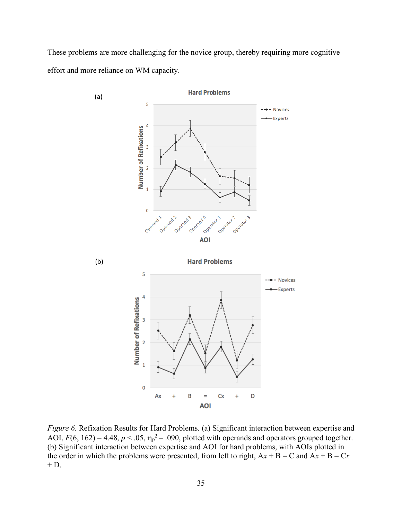These problems are more challenging for the novice group, thereby requiring more cognitive effort and more reliance on WM capacity.



*Figure 6.* Refixation Results for Hard Problems. (a) Significant interaction between expertise and AOI,  $F(6, 162) = 4.48$ ,  $p < .05$ ,  $\eta_p^2 = .090$ , plotted with operands and operators grouped together. (b) Significant interaction between expertise and AOI for hard problems, with AOIs plotted in the order in which the problems were presented, from left to right,  $Ax + B = C$  and  $Ax + B = Cx$  $+$  D.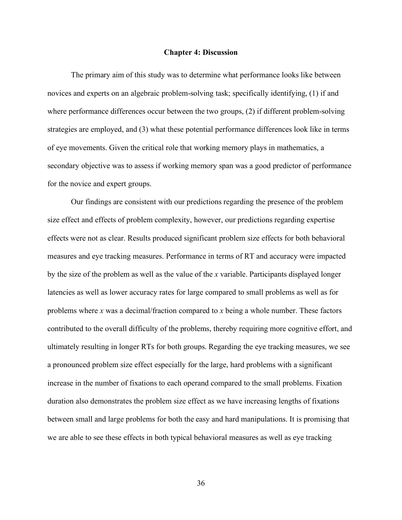#### **Chapter 4: Discussion**

The primary aim of this study was to determine what performance looks like between novices and experts on an algebraic problem-solving task; specifically identifying, (1) if and where performance differences occur between the two groups, (2) if different problem-solving strategies are employed, and (3) what these potential performance differences look like in terms of eye movements. Given the critical role that working memory plays in mathematics, a secondary objective was to assess if working memory span was a good predictor of performance for the novice and expert groups.

Our findings are consistent with our predictions regarding the presence of the problem size effect and effects of problem complexity, however, our predictions regarding expertise effects were not as clear. Results produced significant problem size effects for both behavioral measures and eye tracking measures. Performance in terms of RT and accuracy were impacted by the size of the problem as well as the value of the *x* variable. Participants displayed longer latencies as well as lower accuracy rates for large compared to small problems as well as for problems where *x* was a decimal/fraction compared to *x* being a whole number. These factors contributed to the overall difficulty of the problems, thereby requiring more cognitive effort, and ultimately resulting in longer RTs for both groups. Regarding the eye tracking measures, we see a pronounced problem size effect especially for the large, hard problems with a significant increase in the number of fixations to each operand compared to the small problems. Fixation duration also demonstrates the problem size effect as we have increasing lengths of fixations between small and large problems for both the easy and hard manipulations. It is promising that we are able to see these effects in both typical behavioral measures as well as eye tracking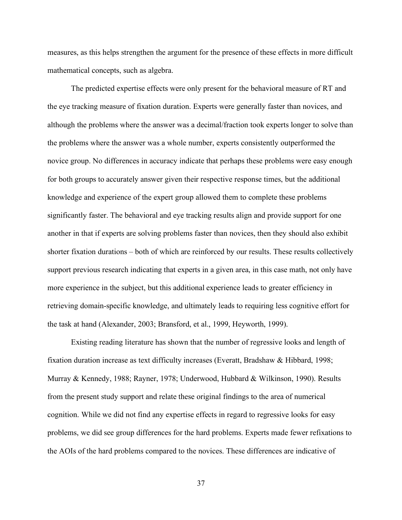measures, as this helps strengthen the argument for the presence of these effects in more difficult mathematical concepts, such as algebra.

The predicted expertise effects were only present for the behavioral measure of RT and the eye tracking measure of fixation duration. Experts were generally faster than novices, and although the problems where the answer was a decimal/fraction took experts longer to solve than the problems where the answer was a whole number, experts consistently outperformed the novice group. No differences in accuracy indicate that perhaps these problems were easy enough for both groups to accurately answer given their respective response times, but the additional knowledge and experience of the expert group allowed them to complete these problems significantly faster. The behavioral and eye tracking results align and provide support for one another in that if experts are solving problems faster than novices, then they should also exhibit shorter fixation durations – both of which are reinforced by our results. These results collectively support previous research indicating that experts in a given area, in this case math, not only have more experience in the subject, but this additional experience leads to greater efficiency in retrieving domain-specific knowledge, and ultimately leads to requiring less cognitive effort for the task at hand (Alexander, 2003; Bransford, et al., 1999, Heyworth, 1999).

Existing reading literature has shown that the number of regressive looks and length of fixation duration increase as text difficulty increases (Everatt, Bradshaw & Hibbard, 1998; Murray & Kennedy, 1988; Rayner, 1978; Underwood, Hubbard & Wilkinson, 1990). Results from the present study support and relate these original findings to the area of numerical cognition. While we did not find any expertise effects in regard to regressive looks for easy problems, we did see group differences for the hard problems. Experts made fewer refixations to the AOIs of the hard problems compared to the novices. These differences are indicative of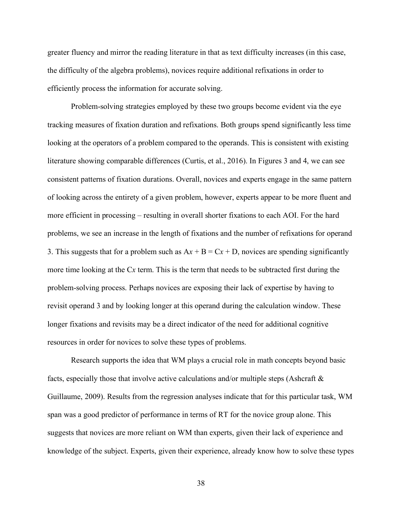greater fluency and mirror the reading literature in that as text difficulty increases (in this case, the difficulty of the algebra problems), novices require additional refixations in order to efficiently process the information for accurate solving.

Problem-solving strategies employed by these two groups become evident via the eye tracking measures of fixation duration and refixations. Both groups spend significantly less time looking at the operators of a problem compared to the operands. This is consistent with existing literature showing comparable differences (Curtis, et al., 2016). In Figures 3 and 4, we can see consistent patterns of fixation durations. Overall, novices and experts engage in the same pattern of looking across the entirety of a given problem, however, experts appear to be more fluent and more efficient in processing – resulting in overall shorter fixations to each AOI. For the hard problems, we see an increase in the length of fixations and the number of refixations for operand 3. This suggests that for a problem such as  $Ax + B = Cx + D$ , novices are spending significantly more time looking at the C*x* term. This is the term that needs to be subtracted first during the problem-solving process. Perhaps novices are exposing their lack of expertise by having to revisit operand 3 and by looking longer at this operand during the calculation window. These longer fixations and revisits may be a direct indicator of the need for additional cognitive resources in order for novices to solve these types of problems.

Research supports the idea that WM plays a crucial role in math concepts beyond basic facts, especially those that involve active calculations and/or multiple steps (Ashcraft & Guillaume, 2009). Results from the regression analyses indicate that for this particular task, WM span was a good predictor of performance in terms of RT for the novice group alone. This suggests that novices are more reliant on WM than experts, given their lack of experience and knowledge of the subject. Experts, given their experience, already know how to solve these types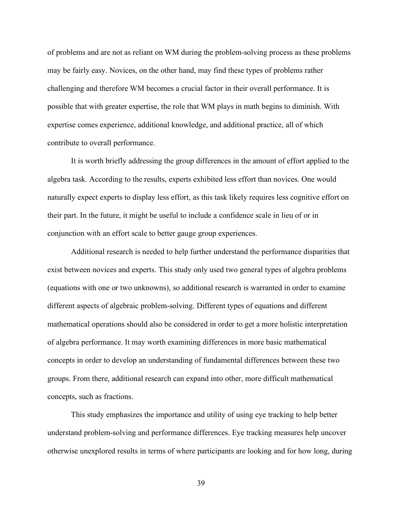of problems and are not as reliant on WM during the problem-solving process as these problems may be fairly easy. Novices, on the other hand, may find these types of problems rather challenging and therefore WM becomes a crucial factor in their overall performance. It is possible that with greater expertise, the role that WM plays in math begins to diminish. With expertise comes experience, additional knowledge, and additional practice, all of which contribute to overall performance.

It is worth briefly addressing the group differences in the amount of effort applied to the algebra task. According to the results, experts exhibited less effort than novices. One would naturally expect experts to display less effort, as this task likely requires less cognitive effort on their part. In the future, it might be useful to include a confidence scale in lieu of or in conjunction with an effort scale to better gauge group experiences.

Additional research is needed to help further understand the performance disparities that exist between novices and experts. This study only used two general types of algebra problems (equations with one or two unknowns), so additional research is warranted in order to examine different aspects of algebraic problem-solving. Different types of equations and different mathematical operations should also be considered in order to get a more holistic interpretation of algebra performance. It may worth examining differences in more basic mathematical concepts in order to develop an understanding of fundamental differences between these two groups. From there, additional research can expand into other, more difficult mathematical concepts, such as fractions.

This study emphasizes the importance and utility of using eye tracking to help better understand problem-solving and performance differences. Eye tracking measures help uncover otherwise unexplored results in terms of where participants are looking and for how long, during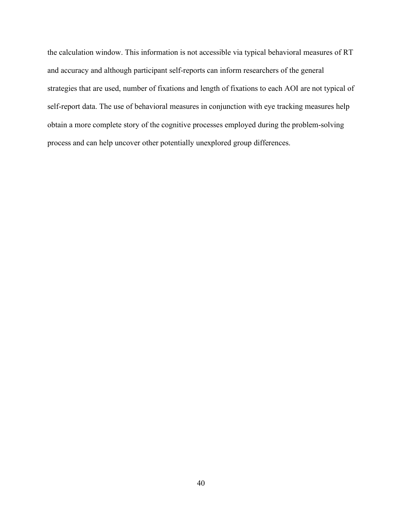the calculation window. This information is not accessible via typical behavioral measures of RT and accuracy and although participant self-reports can inform researchers of the general strategies that are used, number of fixations and length of fixations to each AOI are not typical of self-report data. The use of behavioral measures in conjunction with eye tracking measures help obtain a more complete story of the cognitive processes employed during the problem-solving process and can help uncover other potentially unexplored group differences.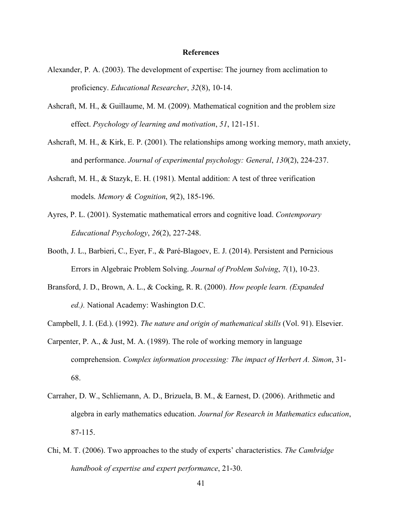#### **References**

- Alexander, P. A. (2003). The development of expertise: The journey from acclimation to proficiency. *Educational Researcher*, *32*(8), 10-14.
- Ashcraft, M. H., & Guillaume, M. M. (2009). Mathematical cognition and the problem size effect. *Psychology of learning and motivation*, *51*, 121-151.
- Ashcraft, M. H., & Kirk, E. P. (2001). The relationships among working memory, math anxiety, and performance. *Journal of experimental psychology: General*, *130*(2), 224-237.
- Ashcraft, M. H., & Stazyk, E. H. (1981). Mental addition: A test of three verification models. *Memory & Cognition*, *9*(2), 185-196.
- Ayres, P. L. (2001). Systematic mathematical errors and cognitive load. *Contemporary Educational Psychology*, *26*(2), 227-248.
- Booth, J. L., Barbieri, C., Eyer, F., & Paré-Blagoev, E. J. (2014). Persistent and Pernicious Errors in Algebraic Problem Solving. *Journal of Problem Solving*, *7*(1), 10-23.
- Bransford, J. D., Brown, A. L., & Cocking, R. R. (2000). *How people learn. (Expanded ed.).* National Academy: Washington D.C.
- Campbell, J. I. (Ed.). (1992). *The nature and origin of mathematical skills* (Vol. 91). Elsevier.
- Carpenter, P. A., & Just, M. A. (1989). The role of working memory in language comprehension. *Complex information processing: The impact of Herbert A. Simon*, 31- 68.
- Carraher, D. W., Schliemann, A. D., Brizuela, B. M., & Earnest, D. (2006). Arithmetic and algebra in early mathematics education. *Journal for Research in Mathematics education*, 87-115.
- Chi, M. T. (2006). Two approaches to the study of experts' characteristics. *The Cambridge handbook of expertise and expert performance*, 21-30.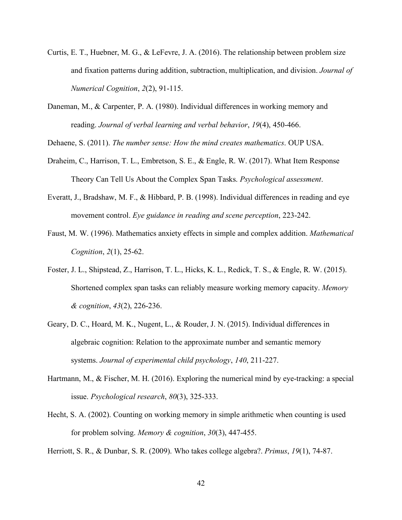- Curtis, E. T., Huebner, M. G., & LeFevre, J. A. (2016). The relationship between problem size and fixation patterns during addition, subtraction, multiplication, and division. *Journal of Numerical Cognition*, *2*(2), 91-115.
- Daneman, M., & Carpenter, P. A. (1980). Individual differences in working memory and reading. *Journal of verbal learning and verbal behavior*, *19*(4), 450-466.

Dehaene, S. (2011). *The number sense: How the mind creates mathematics*. OUP USA.

- Draheim, C., Harrison, T. L., Embretson, S. E., & Engle, R. W. (2017). What Item Response Theory Can Tell Us About the Complex Span Tasks. *Psychological assessment*.
- Everatt, J., Bradshaw, M. F., & Hibbard, P. B. (1998). Individual differences in reading and eye movement control. *Eye guidance in reading and scene perception*, 223-242.
- Faust, M. W. (1996). Mathematics anxiety effects in simple and complex addition. *Mathematical Cognition*, *2*(1), 25-62.
- Foster, J. L., Shipstead, Z., Harrison, T. L., Hicks, K. L., Redick, T. S., & Engle, R. W. (2015). Shortened complex span tasks can reliably measure working memory capacity. *Memory & cognition*, *43*(2), 226-236.
- Geary, D. C., Hoard, M. K., Nugent, L., & Rouder, J. N. (2015). Individual differences in algebraic cognition: Relation to the approximate number and semantic memory systems. *Journal of experimental child psychology*, *140*, 211-227.
- Hartmann, M., & Fischer, M. H. (2016). Exploring the numerical mind by eye-tracking: a special issue. *Psychological research*, *80*(3), 325-333.
- Hecht, S. A. (2002). Counting on working memory in simple arithmetic when counting is used for problem solving. *Memory & cognition*, *30*(3), 447-455.

Herriott, S. R., & Dunbar, S. R. (2009). Who takes college algebra?. *Primus*, *19*(1), 74-87.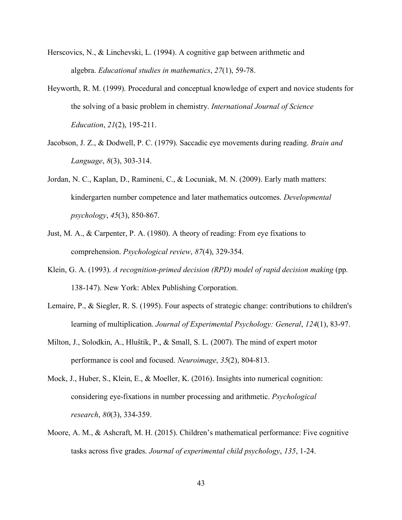- Herscovics, N., & Linchevski, L. (1994). A cognitive gap between arithmetic and algebra. *Educational studies in mathematics*, *27*(1), 59-78.
- Heyworth, R. M. (1999). Procedural and conceptual knowledge of expert and novice students for the solving of a basic problem in chemistry. *International Journal of Science Education*, *21*(2), 195-211.
- Jacobson, J. Z., & Dodwell, P. C. (1979). Saccadic eye movements during reading. *Brain and Language*, *8*(3), 303-314.
- Jordan, N. C., Kaplan, D., Ramineni, C., & Locuniak, M. N. (2009). Early math matters: kindergarten number competence and later mathematics outcomes. *Developmental psychology*, *45*(3), 850-867.
- Just, M. A., & Carpenter, P. A. (1980). A theory of reading: From eye fixations to comprehension. *Psychological review*, *87*(4), 329-354.
- Klein, G. A. (1993). *A recognition-primed decision (RPD) model of rapid decision making* (pp. 138-147). New York: Ablex Publishing Corporation.
- Lemaire, P., & Siegler, R. S. (1995). Four aspects of strategic change: contributions to children's learning of multiplication. *Journal of Experimental Psychology: General*, *124*(1), 83-97.
- Milton, J., Solodkin, A., Hluštík, P., & Small, S. L. (2007). The mind of expert motor performance is cool and focused. *Neuroimage*, *35*(2), 804-813.
- Mock, J., Huber, S., Klein, E., & Moeller, K. (2016). Insights into numerical cognition: considering eye-fixations in number processing and arithmetic. *Psychological research*, *80*(3), 334-359.
- Moore, A. M., & Ashcraft, M. H. (2015). Children's mathematical performance: Five cognitive tasks across five grades. *Journal of experimental child psychology*, *135*, 1-24.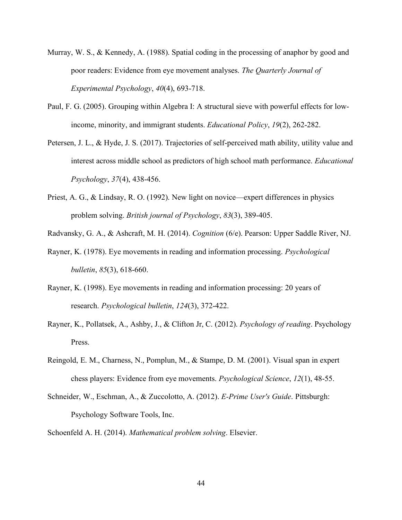- Murray, W. S., & Kennedy, A. (1988). Spatial coding in the processing of anaphor by good and poor readers: Evidence from eye movement analyses. *The Quarterly Journal of Experimental Psychology*, *40*(4), 693-718.
- Paul, F. G. (2005). Grouping within Algebra I: A structural sieve with powerful effects for lowincome, minority, and immigrant students. *Educational Policy*, *19*(2), 262-282.
- Petersen, J. L., & Hyde, J. S. (2017). Trajectories of self-perceived math ability, utility value and interest across middle school as predictors of high school math performance. *Educational Psychology*, *37*(4), 438-456.
- Priest, A. G., & Lindsay, R. O. (1992). New light on novice—expert differences in physics problem solving. *British journal of Psychology*, *83*(3), 389-405.
- Radvansky, G. A., & Ashcraft, M. H. (2014). *Cognition* (6/e). Pearson: Upper Saddle River, NJ.
- Rayner, K. (1978). Eye movements in reading and information processing. *Psychological bulletin*, *85*(3), 618-660.
- Rayner, K. (1998). Eye movements in reading and information processing: 20 years of research. *Psychological bulletin*, *124*(3), 372-422.
- Rayner, K., Pollatsek, A., Ashby, J., & Clifton Jr, C. (2012). *Psychology of reading*. Psychology Press.
- Reingold, E. M., Charness, N., Pomplun, M., & Stampe, D. M. (2001). Visual span in expert chess players: Evidence from eye movements. *Psychological Science*, *12*(1), 48-55.
- Schneider, W., Eschman, A., & Zuccolotto, A. (2012). *E-Prime User's Guide*. Pittsburgh: Psychology Software Tools, Inc.
- Schoenfeld A. H. (2014). *Mathematical problem solving*. Elsevier.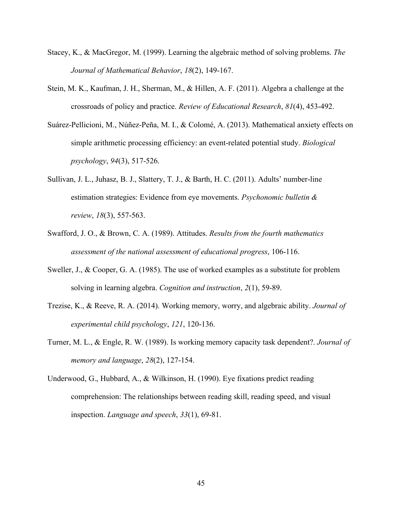- Stacey, K., & MacGregor, M. (1999). Learning the algebraic method of solving problems. *The Journal of Mathematical Behavior*, *18*(2), 149-167.
- Stein, M. K., Kaufman, J. H., Sherman, M., & Hillen, A. F. (2011). Algebra a challenge at the crossroads of policy and practice. *Review of Educational Research*, *81*(4), 453-492.
- Suárez-Pellicioni, M., Núñez-Peña, M. I., & Colomé, A. (2013). Mathematical anxiety effects on simple arithmetic processing efficiency: an event-related potential study. *Biological psychology*, *94*(3), 517-526.
- Sullivan, J. L., Juhasz, B. J., Slattery, T. J., & Barth, H. C. (2011). Adults' number-line estimation strategies: Evidence from eye movements. *Psychonomic bulletin & review*, *18*(3), 557-563.
- Swafford, J. O., & Brown, C. A. (1989). Attitudes. *Results from the fourth mathematics assessment of the national assessment of educational progress*, 106-116.
- Sweller, J., & Cooper, G. A. (1985). The use of worked examples as a substitute for problem solving in learning algebra. *Cognition and instruction*, *2*(1), 59-89.
- Trezise, K., & Reeve, R. A. (2014). Working memory, worry, and algebraic ability. *Journal of experimental child psychology*, *121*, 120-136.
- Turner, M. L., & Engle, R. W. (1989). Is working memory capacity task dependent?. *Journal of memory and language*, *28*(2), 127-154.
- Underwood, G., Hubbard, A., & Wilkinson, H. (1990). Eye fixations predict reading comprehension: The relationships between reading skill, reading speed, and visual inspection. *Language and speech*, *33*(1), 69-81.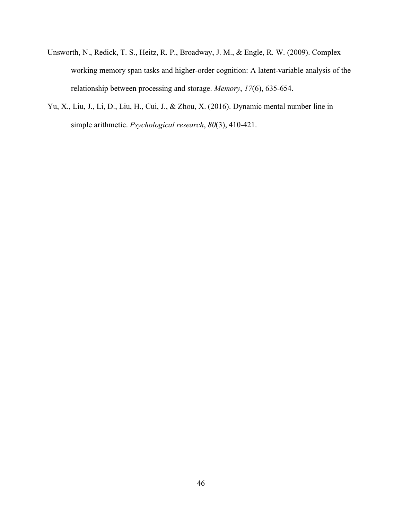- Unsworth, N., Redick, T. S., Heitz, R. P., Broadway, J. M., & Engle, R. W. (2009). Complex working memory span tasks and higher-order cognition: A latent-variable analysis of the relationship between processing and storage. *Memory*, *17*(6), 635-654.
- Yu, X., Liu, J., Li, D., Liu, H., Cui, J., & Zhou, X. (2016). Dynamic mental number line in simple arithmetic. *Psychological research*, *80*(3), 410-421.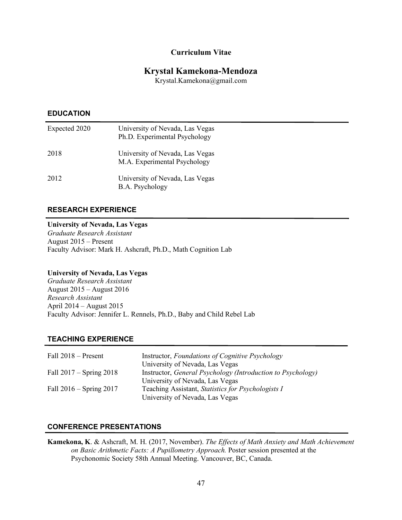#### **Curriculum Vitae**

# **Krystal Kamekona-Mendoza**

Krystal.Kamekona@gmail.com

# **EDUCATION**

| Expected 2020 | University of Nevada, Las Vegas<br>Ph.D. Experimental Psychology |
|---------------|------------------------------------------------------------------|
| 2018          | University of Nevada, Las Vegas<br>M.A. Experimental Psychology  |
| 2012          | University of Nevada, Las Vegas<br>B.A. Psychology               |

#### **RESEARCH EXPERIENCE**

#### **University of Nevada, Las Vegas**

*Graduate Research Assistant* August 2015 – Present Faculty Advisor: Mark H. Ashcraft, Ph.D., Math Cognition Lab

#### **University of Nevada, Las Vegas**

*Graduate Research Assistant* August 2015 – August 2016 *Research Assistant* April 2014 – August 2015 Faculty Advisor: Jennifer L. Rennels, Ph.D., Baby and Child Rebel Lab

#### **TEACHING EXPERIENCE**

| Fall $2018$ – Present       | Instructor, Foundations of Cognitive Psychology             |
|-----------------------------|-------------------------------------------------------------|
|                             | University of Nevada, Las Vegas                             |
| Fall $2017 -$ Spring $2018$ | Instructor, General Psychology (Introduction to Psychology) |
|                             | University of Nevada, Las Vegas                             |
| Fall $2016 -$ Spring $2017$ | Teaching Assistant, Statistics for Psychologists I          |
|                             | University of Nevada, Las Vegas                             |

#### **CONFERENCE PRESENTATIONS**

**Kamekona, K**. & Ashcraft, M. H. (2017, November). *The Effects of Math Anxiety and Math Achievement on Basic Arithmetic Facts: A Pupillometry Approach.* Poster session presented at the Psychonomic Society 58th Annual Meeting. Vancouver, BC, Canada.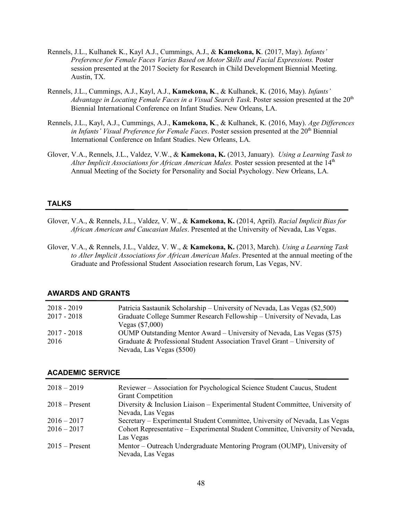- Rennels, J.L., Kulhanek K., Kayl A.J., Cummings, A.J., & **Kamekona, K**. (2017, May). *Infants' Preference for Female Faces Varies Based on Motor Skills and Facial Expressions.* Poster session presented at the 2017 Society for Research in Child Development Biennial Meeting. Austin, TX.
- Rennels, J.L., Cummings, A.J., Kayl, A.J., **Kamekona, K**., & Kulhanek, K. (2016, May). *Infants' Advantage in Locating Female Faces in a Visual Search Task.* Poster session presented at the 20<sup>th</sup> Biennial International Conference on Infant Studies. New Orleans, LA.
- Rennels, J.L., Kayl, A.J., Cummings, A.J., **Kamekona, K**., & Kulhanek, K. (2016, May). *Age Differences in Infants' Visual Preference for Female Faces*. Poster session presented at the 20<sup>th</sup> Biennial International Conference on Infant Studies. New Orleans, LA.
- Glover, V.A., Rennels, J.L., Valdez, V.W., & **Kamekona, K.** (2013, January). *Using a Learning Task to*  Alter Implicit Associations for African American Males. Poster session presented at the 14<sup>th</sup> Annual Meeting of the Society for Personality and Social Psychology. New Orleans, LA.

#### **TALKS**

- Glover, V.A., & Rennels, J.L., Valdez, V. W., & **Kamekona, K.** (2014, April). *Racial Implicit Bias for African American and Caucasian Males*. Presented at the University of Nevada, Las Vegas.
- Glover, V.A., & Rennels, J.L., Valdez, V. W., & **Kamekona, K.** (2013, March). *Using a Learning Task to Alter Implicit Associations for African American Males*. Presented at the annual meeting of the Graduate and Professional Student Association research forum, Las Vegas, NV.

| $2018 - 2019$<br>$2017 - 2018$ | Patricia Sastaunik Scholarship – University of Nevada, Las Vegas (\$2,500)<br>Graduate College Summer Research Fellowship – University of Nevada, Las |
|--------------------------------|-------------------------------------------------------------------------------------------------------------------------------------------------------|
|                                | Vegas $(\$7,000)$                                                                                                                                     |
| $2017 - 2018$                  | OUMP Outstanding Mentor Award – University of Nevada, Las Vegas (\$75)                                                                                |
| 2016                           | Graduate & Professional Student Association Travel Grant – University of                                                                              |
|                                | Nevada, Las Vegas (\$500)                                                                                                                             |

#### **AWARDS AND GRANTS**

#### **ACADEMIC SERVICE**

| Reviewer – Association for Psychological Science Student Caucus, Student      |
|-------------------------------------------------------------------------------|
| <b>Grant Competition</b>                                                      |
| Diversity & Inclusion Liaison - Experimental Student Committee, University of |
| Nevada, Las Vegas                                                             |
| Secretary – Experimental Student Committee, University of Nevada, Las Vegas   |
| Cohort Representative – Experimental Student Committee, University of Nevada, |
| Las Vegas                                                                     |
| Mentor – Outreach Undergraduate Mentoring Program (OUMP), University of       |
| Nevada, Las Vegas                                                             |
|                                                                               |